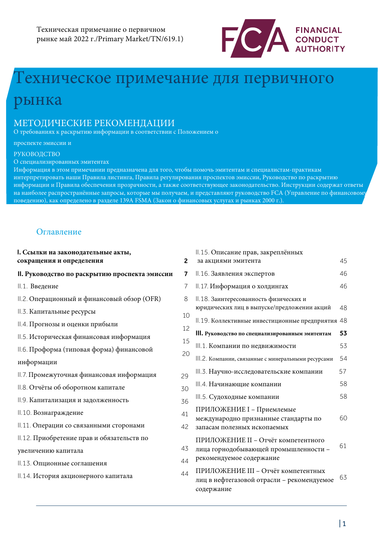

# ехническое примечание для первичного

# рынка

## МЕТОДИЧЕСКИЕ РЕКОМЕНДАЦИИ

О требованиях к раскрытию информации в соответствии с Положением о

#### проспекте эмиссии и

#### РУКОВОДСТВО

О специализированных эмитентах

Информация в этом примечании предназначена для того, чтобы помочь эмитентам и специалистам-практикам интерпретировать наши Правила листинга, Правила регулирования проспектов эмиссии, Руководство по раскрытию информации и Правила обеспечения прозрачности, а также соответствующее законодательство. Инструкции содержат ответы на наиболее распространённые запросы, которые мы получаем, и представляют руководство FCA (Управление по финансовому поведению), как определено в разделе 139A FSMA (Закон о финансовых услугах и рынках 2000 г.).

## Оглавление

| I. Ссылки на законодательные акты,<br>сокращения и определения | $\mathbf{2}$ | II.15. Описание прав, закреплённых<br>за акциями эмитента                                       | 45 |
|----------------------------------------------------------------|--------------|-------------------------------------------------------------------------------------------------|----|
| II. Руководство по раскрытию проспекта эмиссии                 | 7            | II.16. Заявления экспертов                                                                      | 46 |
| II.1. Введение                                                 | 7            | II.17. Информация о холдингах                                                                   | 46 |
| II.2. Операционный и финансовый обзор (OFR)                    | 8            | II.18. Заинтересованность физических и                                                          |    |
| II.3. Капитальные ресурсы                                      | 10           | юридических лиц в выпуске/предложении акций                                                     | 48 |
| II.4. Прогнозы и оценки прибыли                                | 12           | II.19. Коллективные инвестиционные предприятия 48                                               |    |
| II.5. Историческая финансовая информация                       | 15           | III. Руководство по специализированным эмитентам                                                | 53 |
| II.6. Проформа (типовая форма) финансовой                      | 20           | III.1. Компании по недвижимости                                                                 | 53 |
| информации                                                     |              | III.2. Компании, связанные с полезными ископаемыми                                              | 54 |
| II.7. Промежуточная финансовая информация                      | 29           | III.3. Научно-исследовательские компании                                                        | 57 |
| II.8. Отчёты об оборотном капитале                             | 30           | III.4. Начинающие компании                                                                      | 58 |
| II.9. Капитализация и задолженность                            | 36           | III.5. Судоходные компании                                                                      | 58 |
| II.10. Вознаграждение                                          | 41           | ПРИЛОЖЕНИЕ I - Допустимые                                                                       |    |
| II.11. Операции со связанными сторонами                        | 42           | международно признанные стандарты по<br>запасам полезных ископаемых                             | 6C |
| II.12. Приобретение прав и обязательств по                     |              | ПРИЛОЖЕНИЕ II - Отчёт компетентного                                                             |    |
| увеличению капитала                                            | 43           | лица горнодобывающей промышленности -                                                           | 61 |
| II.13. Опционные соглашения                                    | 44           | рекомендуемое содержание                                                                        |    |
| II.14. История акционерного капитала                           | 44           | ПРИЛОЖЕНИЕ III - Отчёт компетентных<br>лиц в нефтегазовой отрасли - рекомендуемое<br>содержание | 63 |

45 46 46

48

53 53

58

58

60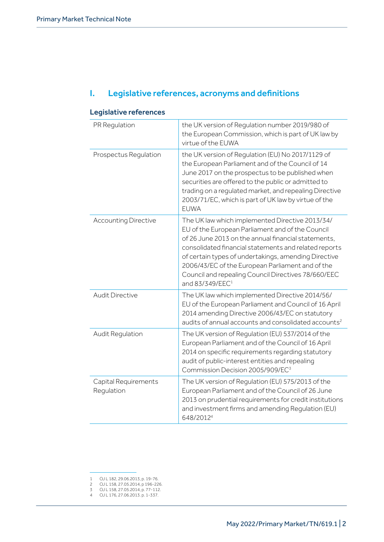## I. Legislative references, acronyms and definitions

| -cyparative references             |                                                                                                                                                                                                                                                                                                                                                                                                                       |
|------------------------------------|-----------------------------------------------------------------------------------------------------------------------------------------------------------------------------------------------------------------------------------------------------------------------------------------------------------------------------------------------------------------------------------------------------------------------|
| PR Regulation                      | the UK version of Regulation number 2019/980 of<br>the European Commission, which is part of UK law by<br>virtue of the EUWA                                                                                                                                                                                                                                                                                          |
| Prospectus Regulation              | the UK version of Regulation (EU) No 2017/1129 of<br>the European Parliament and of the Council of 14<br>June 2017 on the prospectus to be published when<br>securities are offered to the public or admitted to<br>trading on a regulated market, and repealing Directive<br>2003/71/EC, which is part of UK law by virtue of the<br><b>EUWA</b>                                                                     |
| <b>Accounting Directive</b>        | The UK law which implemented Directive 2013/34/<br>EU of the European Parliament and of the Council<br>of 26 June 2013 on the annual financial statements,<br>consolidated financial statements and related reports<br>of certain types of undertakings, amending Directive<br>2006/43/EC of the European Parliament and of the<br>Council and repealing Council Directives 78/660/EEC<br>and 83/349/EEC <sup>1</sup> |
| <b>Audit Directive</b>             | The UK law which implemented Directive 2014/56/<br>EU of the European Parliament and Council of 16 April<br>2014 amending Directive 2006/43/EC on statutory<br>audits of annual accounts and consolidated accounts <sup>2</sup>                                                                                                                                                                                       |
| Audit Regulation                   | The UK version of Regulation (EU) 537/2014 of the<br>European Parliament and of the Council of 16 April<br>2014 on specific requirements regarding statutory<br>audit of public-interest entities and repealing<br>Commission Decision 2005/909/EC <sup>3</sup>                                                                                                                                                       |
| Capital Requirements<br>Regulation | The UK version of Regulation (EU) 575/2013 of the<br>European Parliament and of the Council of 26 June<br>2013 on prudential requirements for credit institutions<br>and investment firms and amending Regulation (EU)<br>648/20124                                                                                                                                                                                   |

## Legislative references

2 OJ L 158, 27.05.2014, p 196-226.

<sup>1</sup> OJ L 182, 29.06.2013, p. 19-76.

<sup>3</sup> OJ L 158, 27.05.2014, p. 77-112. 4 OJ L 176, 27.06.2013. p. 1-337.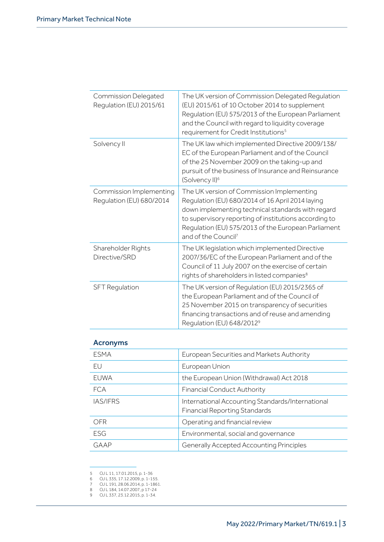| Commission Delegated<br>Regulation (EU) 2015/61     | The UK version of Commission Delegated Regulation<br>(EU) 2015/61 of 10 October 2014 to supplement<br>Regulation (EU) 575/2013 of the European Parliament<br>and the Council with regard to liquidity coverage<br>requirement for Credit Institutions <sup>5</sup>                                    |
|-----------------------------------------------------|-------------------------------------------------------------------------------------------------------------------------------------------------------------------------------------------------------------------------------------------------------------------------------------------------------|
| Solvency II                                         | The UK law which implemented Directive 2009/138/<br>EC of the European Parliament and of the Council<br>of the 25 November 2009 on the taking-up and<br>pursuit of the business of Insurance and Reinsurance<br>(Solvency II) <sup>6</sup>                                                            |
| Commission Implementing<br>Regulation (EU) 680/2014 | The UK version of Commission Implementing<br>Regulation (EU) 680/2014 of 16 April 2014 laying<br>down implementing technical standards with regard<br>to supervisory reporting of institutions according to<br>Regulation (EU) 575/2013 of the European Parliament<br>and of the Council <sup>7</sup> |
| Shareholder Rights<br>Directive/SRD                 | The UK legislation which implemented Directive<br>2007/36/EC of the European Parliament and of the<br>Council of 11 July 2007 on the exercise of certain<br>rights of shareholders in listed companies <sup>8</sup>                                                                                   |
| <b>SFT Regulation</b>                               | The UK version of Regulation (EU) 2015/2365 of<br>the European Parliament and of the Council of<br>25 November 2015 on transparency of securities<br>financing transactions and of reuse and amending<br>Regulation (EU) 648/2012 <sup>9</sup>                                                        |

## Acronyms

| <b>ESMA</b> | European Securities and Markets Authority                                                |
|-------------|------------------------------------------------------------------------------------------|
| <b>FU</b>   | European Union                                                                           |
| EUWA        | the European Union (Withdrawal) Act 2018                                                 |
| <b>FCA</b>  | <b>Financial Conduct Authority</b>                                                       |
| IAS/IFRS    | International Accounting Standards/International<br><b>Financial Reporting Standards</b> |
| <b>OFR</b>  | Operating and financial review                                                           |
| <b>ESG</b>  | Environmental, social and governance                                                     |
| GAAP        | <b>Generally Accepted Accounting Principles</b>                                          |
|             |                                                                                          |

<sup>5</sup> OJ L 11, 17.01.2015, p. 1-36

<sup>6</sup> OJ L 335, 17.12.2009, p. 1-155.

<sup>7</sup> OJ L 191, 28.06.2014, p. 1-1861.

<sup>8</sup> OJ L 184, 14.07.2007, p 17-24 9 OJ L 337, 23.12.2015, p. 1-34.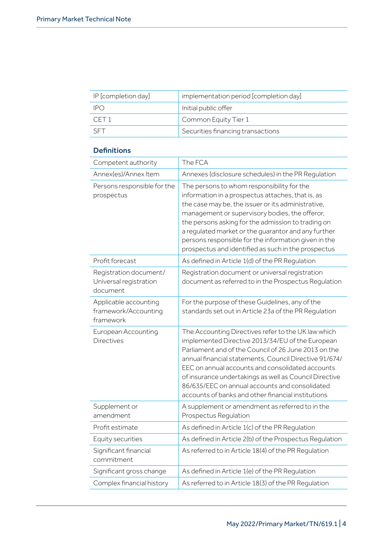| IP [completion day] | implementation period [completion day] |
|---------------------|----------------------------------------|
| -IPO                | Initial public offer                   |
| CFT <sub>1</sub>    | Common Equity Tier 1                   |
| <b>SET</b>          | Securities financing transactions      |

## **Definitions**

| Competent authority                                          | The FCA                                                                                                                                                                                                                                                                                                                                                                                                                                         |
|--------------------------------------------------------------|-------------------------------------------------------------------------------------------------------------------------------------------------------------------------------------------------------------------------------------------------------------------------------------------------------------------------------------------------------------------------------------------------------------------------------------------------|
| Annex(es)/Annex Item                                         | Annexes (disclosure schedules) in the PR Regulation                                                                                                                                                                                                                                                                                                                                                                                             |
| Persons responsible for the<br>prospectus                    | The persons to whom responsibility for the<br>information in a prospectus attaches, that is, as<br>the case may be, the issuer or its administrative,<br>management or supervisory bodies, the offeror,<br>the persons asking for the admission to trading on<br>a regulated market or the guarantor and any further<br>persons responsible for the information given in the<br>prospectus and identified as such in the prospectus             |
| Profit forecast                                              | As defined in Article 1(d) of the PR Regulation                                                                                                                                                                                                                                                                                                                                                                                                 |
| Registration document/<br>Universal registration<br>document | Registration document or universal registration<br>document as referred to in the Prospectus Regulation                                                                                                                                                                                                                                                                                                                                         |
| Applicable accounting<br>framework/Accounting<br>framework   | For the purpose of these Guidelines, any of the<br>standards set out in Article 23a of the PR Regulation                                                                                                                                                                                                                                                                                                                                        |
| European Accounting<br><b>Directives</b>                     | The Accounting Directives refer to the UK law which<br>implemented Directive 2013/34/EU of the European<br>Parliament and of the Council of 26 June 2013 on the<br>annual financial statements, Council Directive 91/674/<br>EEC on annual accounts and consolidated accounts<br>of insurance undertakings as well as Council Directive<br>86/635/EEC on annual accounts and consolidated<br>accounts of banks and other financial institutions |
| Supplement or<br>amendment                                   | A supplement or amendment as referred to in the<br>Prospectus Regulation                                                                                                                                                                                                                                                                                                                                                                        |
| Profit estimate                                              | As defined in Article 1(c) of the PR Regulation                                                                                                                                                                                                                                                                                                                                                                                                 |
| Equity securities                                            | As defined in Article 2(b) of the Prospectus Regulation                                                                                                                                                                                                                                                                                                                                                                                         |
| Significant financial<br>commitment                          | As referred to in Article 18(4) of the PR Regulation                                                                                                                                                                                                                                                                                                                                                                                            |
| Significant gross change                                     | As defined in Article 1(e) of the PR Regulation                                                                                                                                                                                                                                                                                                                                                                                                 |
| Complex financial history                                    | As referred to in Article 18(3) of the PR Regulation                                                                                                                                                                                                                                                                                                                                                                                            |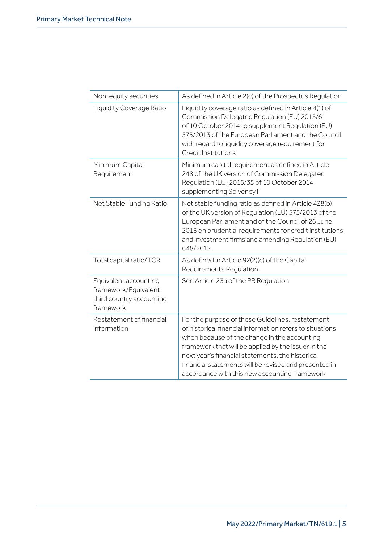| Non-equity securities                                                                  | As defined in Article 2(c) of the Prospectus Regulation                                                                                                                                                                                                                                                                                                                           |
|----------------------------------------------------------------------------------------|-----------------------------------------------------------------------------------------------------------------------------------------------------------------------------------------------------------------------------------------------------------------------------------------------------------------------------------------------------------------------------------|
| Liquidity Coverage Ratio                                                               | Liquidity coverage ratio as defined in Article 4(1) of<br>Commission Delegated Regulation (EU) 2015/61<br>of 10 October 2014 to supplement Regulation (EU)<br>575/2013 of the European Parliament and the Council<br>with regard to liquidity coverage requirement for<br>Credit Institutions                                                                                     |
| Minimum Capital<br>Requirement                                                         | Minimum capital requirement as defined in Article<br>248 of the UK version of Commission Delegated<br>Regulation (EU) 2015/35 of 10 October 2014<br>supplementing Solvency II                                                                                                                                                                                                     |
| Net Stable Funding Ratio                                                               | Net stable funding ratio as defined in Article 428(b)<br>of the UK version of Regulation (EU) 575/2013 of the<br>European Parliament and of the Council of 26 June<br>2013 on prudential requirements for credit institutions<br>and investment firms and amending Regulation (EU)<br>648/2012.                                                                                   |
| Total capital ratio/TCR                                                                | As defined in Article 92(2)(c) of the Capital<br>Requirements Regulation.                                                                                                                                                                                                                                                                                                         |
| Equivalent accounting<br>framework/Equivalent<br>third country accounting<br>framework | See Article 23a of the PR Regulation                                                                                                                                                                                                                                                                                                                                              |
| Restatement of financial<br>information                                                | For the purpose of these Guidelines, restatement<br>of historical financial information refers to situations<br>when because of the change in the accounting<br>framework that will be applied by the issuer in the<br>next year's financial statements, the historical<br>financial statements will be revised and presented in<br>accordance with this new accounting framework |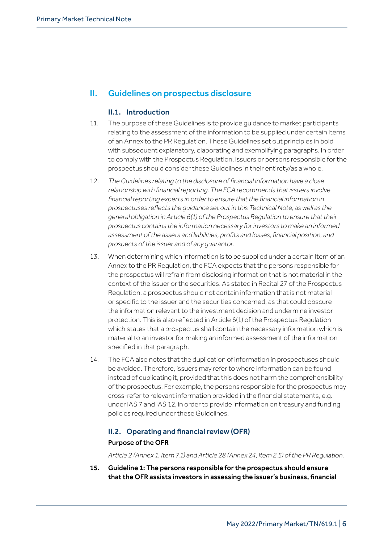## II. Guidelines on prospectus disclosure

## II.1. Introduction

- 11. The purpose of these Guidelines is to provide guidance to market participants relating to the assessment of the information to be supplied under certain Items of an Annex to the PR Regulation. These Guidelines set out principles in bold with subsequent explanatory, elaborating and exemplifying paragraphs. In order to comply with the Prospectus Regulation, issuers or persons responsible for the prospectus should consider these Guidelines in their entirety/as a whole.
- 12. *The Guidelines relating to the disclosure of financial information have a close relationship with financial reporting. The FCA recommends that issuers involve financial reporting experts in order to ensure that the financial information in prospectuses reflects the guidance set out in this Technical Note, as well as the general obligation in Article 6(1) of the Prospectus Regulation to ensure that their prospectus contains the information necessary for investors to make an informed assessment of the assets and liabilities, profits and losses, financial position, and prospects of the issuer and of any guarantor.*
- 13. When determining which information is to be supplied under a certain Item of an Annex to the PR Regulation, the FCA expects that the persons responsible for the prospectus will refrain from disclosing information that is not material in the context of the issuer or the securities. As stated in Recital 27 of the Prospectus Regulation, a prospectus should not contain information that is not material or specific to the issuer and the securities concerned, as that could obscure the information relevant to the investment decision and undermine investor protection. This is also reflected in Article 6(1) of the Prospectus Regulation which states that a prospectus shall contain the necessary information which is material to an investor for making an informed assessment of the information specified in that paragraph.
- 14. The FCA also notes that the duplication of information in prospectuses should be avoided. Therefore, issuers may refer to where information can be found instead of duplicating it, provided that this does not harm the comprehensibility of the prospectus. For example, the persons responsible for the prospectus may cross-refer to relevant information provided in the financial statements, e.g. under IAS 7 and IAS 12, in order to provide information on treasury and funding policies required under these Guidelines.

## II.2. Operating and financial review (OFR)

## Purpose of the OFR

*Article 2 (Annex 1, Item 7.1) and Article 28 (Annex 24, Item 2.5) of the PR Regulation.*

15. Guideline 1: The persons responsible for the prospectus should ensure that the OFR assists investors in assessing the issuer's business, financial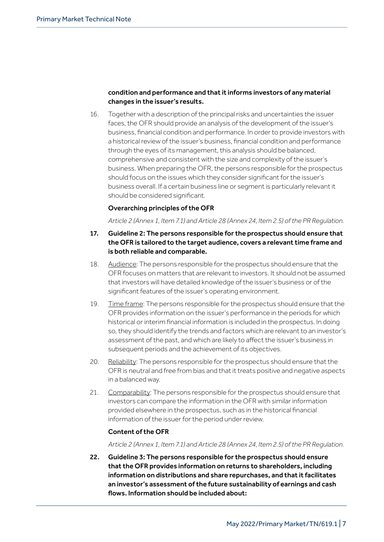## condition and performance and that it informs investors of any material changes in the issuer's results.

16. Together with a description of the principal risks and uncertainties the issuer faces, the OFR should provide an analysis of the development of the issuer's business, financial condition and performance. In order to provide investors with a historical review of the issuer's business, financial condition and performance through the eyes of its management, this analysis should be balanced, comprehensive and consistent with the size and complexity of the issuer's business. When preparing the OFR, the persons responsible for the prospectus should focus on the issues which they consider significant for the issuer's business overall. If a certain business line or segment is particularly relevant it should be considered significant.

## Overarching principles of the OFR

*Article 2 (Annex 1, Item 7.1) and Article 28 (Annex 24, Item 2.5) of the PR Regulation.*

- 17. Guideline 2: The persons responsible for the prospectus should ensure that the OFR is tailored to the target audience, covers a relevant time frame and is both reliable and comparable.
- 18. Audience: The persons responsible for the prospectus should ensure that the OFR focuses on matters that are relevant to investors. It should not be assumed that investors will have detailed knowledge of the issuer's business or of the significant features of the issuer's operating environment.
- 19. Time frame: The persons responsible for the prospectus should ensure that the OFR provides information on the issuer's performance in the periods for which historical or interim financial information is included in the prospectus. In doing so, they should identify the trends and factors which are relevant to an investor's assessment of the past, and which are likely to affect the issuer's business in subsequent periods and the achievement of its objectives.
- 20. Reliability: The persons responsible for the prospectus should ensure that the OFR is neutral and free from bias and that it treats positive and negative aspects in a balanced way.
- 21. Comparability: The persons responsible for the prospectus should ensure that investors can compare the information in the OFR with similar information provided elsewhere in the prospectus, such as in the historical financial information of the issuer for the period under review.

## Content of the OFR

*Article 2 (Annex 1, Item 7.1) and Article 28 (Annex 24, Item 2.5) of the PR Regulation.*

22. Guideline 3: The persons responsible for the prospectus should ensure that the OFR provides information on returns to shareholders, including information on distributions and share repurchases, and that it facilitates an investor's assessment of the future sustainability of earnings and cash flows. Information should be included about: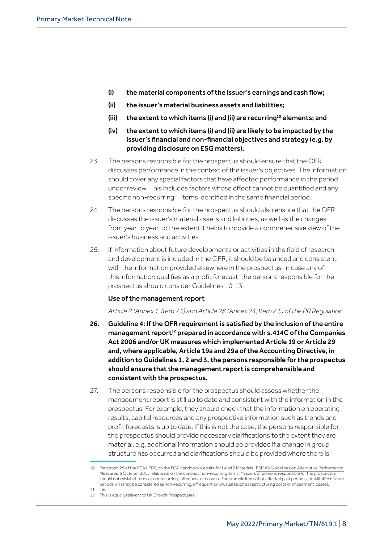- (i) the material components of the issuer's earnings and cash flow;
- (ii) the issuer's material business assets and liabilities;
- (iii) the extent to which items (i) and (ii) are recurring<sup>10</sup> elements; and
- (iv) the extent to which items (i) and (ii) are likely to be impacted by the issuer's financial and non-financial objectives and strategy (e.g. by providing disclosure on ESG matters).
- 23. The persons responsible for the prospectus should ensure that the OFR discusses performance in the context of the issuer's objectives. The information should cover any special factors that have affected performance in the period under review. This includes factors whose effect cannot be quantified and any specific non-recurring<sup>11</sup> items identified in the same financial period.
- 24. The persons responsible for the prospectus should also ensure that the OFR discusses the issuer's material assets and liabilities, as well as the changes from year to year, to the extent it helps to provide a comprehensive view of the issuer's business and activities.
- 25. If information about future developments or activities in the field of research and development is included in the OFR, it should be balanced and consistent with the information provided elsewhere in the prospectus. In case any of this information qualifies as a profit forecast, the persons responsible for the prospectus should consider Guidelines 10-13.

## Use of the management report

*Article 2 (Annex 1, Item 7.1) and Article 28 (Annex 24, Item 2.5) of the PR Regulation.*

- 26. Guideline 4: If the OFR requirement is satisfied by the inclusion of the entire management report<sup>12</sup> prepared in accordance with  $s.414C$  of the Companies Act 2006 and/or UK measures which implemented Article 19 or Article 29 and, where applicable, Article 19a and 29a of the Accounting Directive, in addition to Guidelines 1, 2 and 3, the persons responsible for the prospectus should ensure that the management report is comprehensible and consistent with the prospectus.
- 27. The persons responsible for the prospectus should assess whether the management report is still up to date and consistent with the information in the prospectus. For example, they should check that the information on operating results, capital resources and any prospective information such as trends and profit forecasts is up to date. If this is not the case, the persons responsible for the prospectus should provide necessary clarifications to the extent they are material, e.g. additional information should be provided if a change in group structure has occurred and clarifications should be provided where there is

<sup>10</sup> Paragraph 25 of [t](https://www.esma.europa.eu/sites/default/files/library/2015/10/2015-esma-1415en.pdf)he FCA's PDF, on the FCA Handbook website for Level 3 Materials– ESMA's Guidelines on Alternative [Performance](https://www.handbook.fca.org.uk/L3G/PR/2015-esma-1415en.pdf) [Measures,](https://www.handbook.fca.org.uk/L3G/PR/2015-esma-1415en.pdf) 5 October 2015, elaborate on the concept 'non-recurring items': "Issuers or persons responsible for the prospectus should not mislabel items as nonrecurring, infrequent or unusual. For example items that affected past periods and will affect future periods will rarely be considered as non-recurring, infrequent or unusual (such as restructuring costs or impairment losses)." 11 **Ibid.** 

<sup>12</sup> This is equally relevant to UK Growth Prospectuses.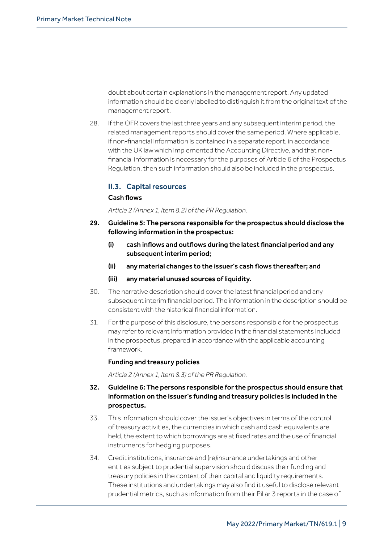doubt about certain explanations in the management report. Any updated information should be clearly labelled to distinguish it from the original text of the management report.

28. If the OFR covers the last three years and any subsequent interim period, the related management reports should cover the same period. Where applicable, if non-financial information is contained in a separate report, in accordance with the UK law which implemented the Accounting Directive, and that nonfinancial information is necessary for the purposes of Article 6 of the Prospectus Regulation, then such information should also be included in the prospectus.

## II.3. Capital resources

## Cash flows

*Article 2 (Annex 1, Item 8.2) of the PR Regulation.*

- 29. Guideline 5: The persons responsible for the prospectus should disclose the following information in the prospectus:
	- (i) cash inflows and outflows during the latest financial period and any subsequent interim period;
	- (ii) any material changes to the issuer's cash flows thereafter; and
	- (iii) any material unused sources of liquidity.
- 30. The narrative description should cover the latest financial period and any subsequent interim financial period. The information in the description should be consistent with the historical financial information.
- 31. For the purpose of this disclosure, the persons responsible for the prospectus may refer to relevant information provided in the financial statements included in the prospectus, prepared in accordance with the applicable accounting framework.

## Funding and treasury policies

*Article 2 (Annex 1, Item 8.3) of the PR Regulation.*

- 32. Guideline 6: The persons responsible for the prospectus should ensure that information on the issuer's funding and treasury policies is included in the prospectus.
- 33. This information should cover the issuer's objectives in terms of the control of treasury activities, the currencies in which cash and cash equivalents are held, the extent to which borrowings are at fixed rates and the use of financial instruments for hedging purposes.
- 34. Credit institutions, insurance and (re)insurance undertakings and other entities subject to prudential supervision should discuss their funding and treasury policies in the context of their capital and liquidity requirements. These institutions and undertakings may also find it useful to disclose relevant prudential metrics, such as information from their Pillar 3 reports in the case of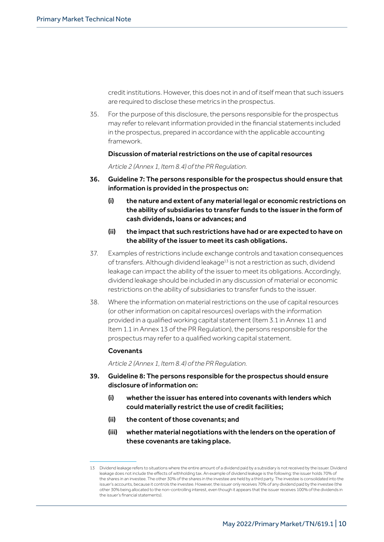credit institutions. However, this does not in and of itself mean that such issuers are required to disclose these metrics in the prospectus.

35. For the purpose of this disclosure, the persons responsible for the prospectus may refer to relevant information provided in the financial statements included in the prospectus, prepared in accordance with the applicable accounting framework.

#### Discussion of material restrictions on the use of capital resources

*Article 2 (Annex 1, Item 8.4) of the PR Regulation.*

- 36. Guideline 7: The persons responsible for the prospectus should ensure that information is provided in the prospectus on:
	- (i) the nature and extent of any material legal or economic restrictions on the ability of subsidiaries to transfer funds to the issuer in the form of cash dividends, loans or advances; and
	- (ii) the impact that such restrictions have had or are expected to have on the ability of the issuer to meet its cash obligations.
- 37. Examples of restrictions include exchange controls and taxation consequences of transfers. Although dividend leakage<sup>13</sup> is not a restriction as such, dividend leakage can impact the ability of the issuer to meet its obligations. Accordingly, dividend leakage should be included in any discussion of material or economic restrictions on the ability of subsidiaries to transfer funds to the issuer.
- 38. Where the information on material restrictions on the use of capital resources (or other information on capital resources) overlaps with the information provided in a qualified working capital statement (Item 3.1 in Annex 11 and Item 1.1 in Annex 13 of the PR Regulation), the persons responsible for the prospectus may refer to a qualified working capital statement.

## **Covenants**

*Article 2 (Annex 1, Item 8.4) of the PR Regulation.*

- 39. Guideline 8: The persons responsible for the prospectus should ensure disclosure of information on:
	- (i) whether the issuer has entered into covenants with lenders which could materially restrict the use of credit facilities;
	- (ii) the content of those covenants; and
	- (iii) whether material negotiations with the lenders on the operation of these covenants are taking place.

<sup>13</sup> Dividend leakage refers to situations where the entire amount of a dividend paid by a subsidiary is not received by the issuer. Dividend leakage does not include the effects of withholding tax. An example of dividend leakage is the following: the issuer holds 70% of the shares in an investee. The other 30% of the shares in the investee are held by a third party. The investee is consolidated into the issuer's accounts, because it controls the investee. However, the issuer only receives 70% of any dividend paid by the investee (the other 30% being allocated to the non-controlling interest, even though it appears that the issuer receives 100% of the dividends in the issuer's financial statements).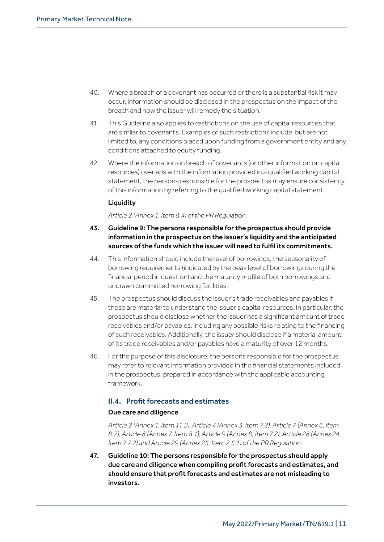- 40. Where a breach of a covenant has occurred or there is a substantial risk it may occur, information should be disclosed in the prospectus on the impact of the breach and how the issuer will remedy the situation.
- 41. This Guideline also applies to restrictions on the use of capital resources that are similar to covenants. Examples of such restrictions include, but are not limited to, any conditions placed upon funding from a government entity and any conditions attached to equity funding.
- 42. Where the information on breach of covenants (or other information on capital resources) overlaps with the information provided in a qualified working capital statement, the persons responsible for the prospectus may ensure consistency of this information by referring to the qualified working capital statement.

## **Liquidity**

*Article 2 (Annex 1, Item 8.4) of the PR Regulation.*

- 43. Guideline 9: The persons responsible for the prospectus should provide information in the prospectus on the issuer's liquidity and the anticipated sources of the funds which the issuer will need to fulfil its commitments.
- 44. This information should include the level of borrowings, the seasonality of borrowing requirements (indicated by the peak level of borrowings during the financial period in question) and the maturity profile of both borrowings and undrawn committed borrowing facilities.
- 45. The prospectus should discuss the issuer's trade receivables and payables if these are material to understand the issuer's capital resources. In particular, the prospectus should disclose whether the issuer has a significant amount of trade receivables and/or payables, including any possible risks relating to the financing of such receivables. Additionally, the issuer should disclose if a material amount of its trade receivables and/or payables have a maturity of over 12 months.
- 46. For the purpose of this disclosure, the persons responsible for the prospectus may refer to relevant information provided in the financial statements included in the prospectus, prepared in accordance with the applicable accounting framework.

## II.4. Profit forecasts and estimates

## Due care and diligence

*Article 2 (Annex 1, Item 11.2), Article 4 (Annex 3, Item 7.2), Article 7 (Annex 6, Item 8.2), Article 8 (Annex 7, Item 8.1), Article 9 (Annex 8, Item 7.2), Article 28 (Annex 24, Item 2.7.2) and Article 29 (Annex 25, Item 2.5.1) of the PR Regulation.*

47. Guideline 10: The persons responsible for the prospectus should apply due care and diligence when compiling profit forecasts and estimates, and should ensure that profit forecasts and estimates are not misleading to investors.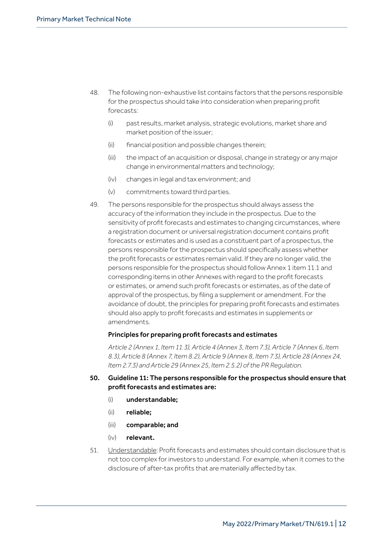- 48. The following non-exhaustive list contains factors that the persons responsible for the prospectus should take into consideration when preparing profit forecasts:
	- (i) past results, market analysis, strategic evolutions, market share and market position of the issuer;
	- (ii) financial position and possible changes therein;
	- (iii) the impact of an acquisition or disposal, change in strategy or any major change in environmental matters and technology;
	- (iv) changes in legal and tax environment; and
	- (v) commitments toward third parties.
- 49. The persons responsible for the prospectus should always assess the accuracy of the information they include in the prospectus. Due to the sensitivity of profit forecasts and estimates to changing circumstances, where a registration document or universal registration document contains profit forecasts or estimates and is used as a constituent part of a prospectus, the persons responsible for the prospectus should specifically assess whether the profit forecasts or estimates remain valid. If they are no longer valid, the persons responsible for the prospectus should follow Annex 1 item 11.1 and corresponding items in other Annexes with regard to the profit forecasts or estimates, or amend such profit forecasts or estimates, as of the date of approval of the prospectus, by filing a supplement or amendment. For the avoidance of doubt, the principles for preparing profit forecasts and estimates should also apply to profit forecasts and estimates in supplements or amendments.

#### Principles for preparing profit forecasts and estimates

*Article 2 (Annex 1, Item 11.3), Article 4 (Annex 3, Item 7.3), Article 7 (Annex 6, Item 8.3), Article 8 (Annex 7, Item 8.2), Article 9 (Annex 8, Item 7.3), Article 28 (Annex 24, Item 2.7.3) and Article 29 (Annex 25, Item 2.5.2) of the PR Regulation.*

## 50. Guideline 11: The persons responsible for the prospectus should ensure that profit forecasts and estimates are:

- (i) understandable:
- (ii) reliable;
- (iii) comparable; and
- $(iv)$  relevant.
- 51. Understandable: Profit forecasts and estimates should contain disclosure that is not too complex for investors to understand. For example, when it comes to the disclosure of after-tax profits that are materially affected by tax.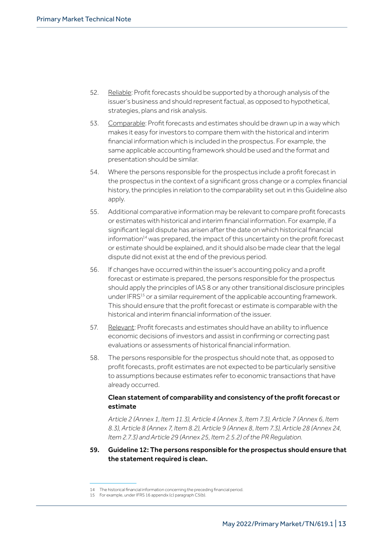- 52. Reliable: Profit forecasts should be supported by a thorough analysis of the issuer's business and should represent factual, as opposed to hypothetical, strategies, plans and risk analysis.
- 53. Comparable: Profit forecasts and estimates should be drawn up in a way which makes it easy for investors to compare them with the historical and interim financial information which is included in the prospectus. For example, the same applicable accounting framework should be used and the format and presentation should be similar.
- 54. Where the persons responsible for the prospectus include a profit forecast in the prospectus in the context of a significant gross change or a complex financial history, the principles in relation to the comparability set out in this Guideline also apply.
- 55. Additional comparative information may be relevant to compare profit forecasts or estimates with historical and interim financial information. For example, if a significant legal dispute has arisen after the date on which historical financial information<sup>14</sup> was prepared, the impact of this uncertainty on the profit forecast or estimate should be explained, and it should also be made clear that the legal dispute did not exist at the end of the previous period.
- 56. If changes have occurred within the issuer's accounting policy and a profit forecast or estimate is prepared, the persons responsible for the prospectus should apply the principles of IAS 8 or any other transitional disclosure principles under IFRS<sup>15</sup> or a similar requirement of the applicable accounting framework. This should ensure that the profit forecast or estimate is comparable with the historical and interim financial information of the issuer.
- 57. Relevant: Profit forecasts and estimates should have an ability to influence economic decisions of investors and assist in confirming or correcting past evaluations or assessments of historical financial information.
- 58. The persons responsible for the prospectus should note that, as opposed to profit forecasts, profit estimates are not expected to be particularly sensitive to assumptions because estimates refer to economic transactions that have already occurred.

## Clean statement of comparability and consistency of the profit forecast or estimate

*Article 2 (Annex 1, Item 11.3), Article 4 (Annex 3, Item 7.3), Article 7 (Annex 6, Item 8.3), Article 8 (Annex 7, Item 8.2), Article 9 (Annex 8, Item 7.3), Article 28 (Annex 24, Item 2.7.3) and Article 29 (Annex 25, Item 2.5.2) of the PR Regulation.*

59. Guideline 12: The persons responsible for the prospectus should ensure that the statement required is clean.

<sup>14</sup> The historical financial information concerning the preceding financial period.

<sup>15</sup> For example, under IFRS 16 appendix (c) paragraph C5(b).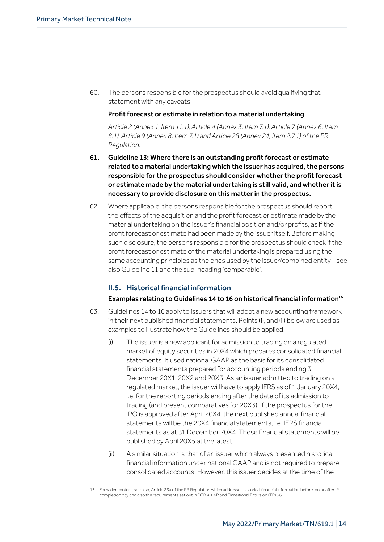60. The persons responsible for the prospectus should avoid qualifying that statement with any caveats.

## Profit forecast or estimate in relation to a material undertaking

*Article 2 (Annex 1, Item 11.1), Article 4 (Annex 3, Item 7.1), Article 7 (Annex 6, Item 8.1), Article 9 (Annex 8, Item 7.1) and Article 28 (Annex 24, Item 2.7.1) of the PR Regulation.*

- 61. Guideline 13: Where there is an outstanding profit forecast or estimate related to a material undertaking which the issuer has acquired, the persons responsible for the prospectus should consider whether the profit forecast or estimate made by the material undertaking is still valid, and whether it is necessary to provide disclosure on this matter in the prospectus.
- 62. Where applicable, the persons responsible for the prospectus should report the effects of the acquisition and the profit forecast or estimate made by the material undertaking on the issuer's financial position and/or profits, as if the profit forecast or estimate had been made by the issuer itself. Before making such disclosure, the persons responsible for the prospectus should check if the profit forecast or estimate of the material undertaking is prepared using the same accounting principles as the ones used by the issuer/combined entity - see also Guideline 11 and the sub-heading 'comparable'.

## II.5. Historical financial information

## Examples relating to Guidelines 14 to 16 on historical financial information<sup>16</sup>

- 63. Guidelines 14 to 16 apply to issuers that will adopt a new accounting framework in their next published financial statements. Points (i), and (ii) below are used as examples to illustrate how the Guidelines should be applied.
	- $(i)$  The issuer is a new applicant for admission to trading on a regulated market of equity securities in 20X4 which prepares consolidated financial statements. It used national GAAP as the basis for its consolidated financial statements prepared for accounting periods ending 31 December 20X1, 20X2 and 20X3. As an issuer admitted to trading on a regulated market, the issuer will have to apply IFRS as of 1 January 20X4, i.e. for the reporting periods ending after the date of its admission to trading (and present comparatives for 20X3). If the prospectus for the IPO is approved after April 20X4, the next published annual financial statements will be the 20X4 financial statements, i.e. IFRS financial statements as at 31 December 20X4. These financial statements will be published by April 20X5 at the latest.
	- (ii) A similar situation is that of an issuer which always presented historical financial information under national GAAP and is not required to prepare consolidated accounts. However, this issuer decides at the time of the

<sup>16</sup> For wider context, see also, Article 23a of the PR Regulation which addresses historical financial information before, on or after IP completion day and also the requirements set out in DTR 4.1.6R and Transitional Provision (TP) 36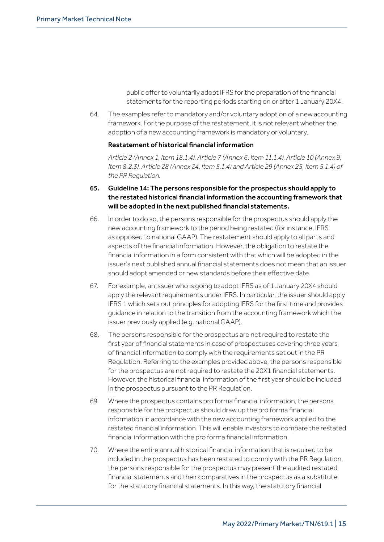public offer to voluntarily adopt IFRS for the preparation of the financial statements for the reporting periods starting on or after 1 January 20X4.

64. The examples refer to mandatory and/or voluntary adoption of a new accounting framework. For the purpose of the restatement, it is not relevant whether the adoption of a new accounting framework is mandatory or voluntary.

## Restatement of historical financial information

*Article 2 (Annex 1, Item 18.1.4), Article 7 (Annex 6, Item 11.1.4), Article 10 (Annex 9, Item 8.2.3), Article 28 (Annex 24, Item 5.1.4) and Article 29 (Annex 25, Item 5.1.4) of the PR Regulation.*

- 65. Guideline 14: The persons responsible for the prospectus should apply to the restated historical financial information the accounting framework that will be adopted in the next published financial statements.
- 66. In order to do so, the persons responsible for the prospectus should apply the new accounting framework to the period being restated (for instance, IFRS as opposed to national GAAP). The restatement should apply to all parts and aspects of the financial information. However, the obligation to restate the financial information in a form consistent with that which will be adopted in the issuer's next published annual financial statements does not mean that an issuer should adopt amended or new standards before their effective date.
- 67. For example, an issuer who is going to adopt IFRS as of 1 January 20X4 should apply the relevant requirements under IFRS. In particular, the issuer should apply IFRS 1 which sets out principles for adopting IFRS for the first time and provides guidance in relation to the transition from the accounting framework which the issuer previously applied (e.g. national GAAP).
- 68. The persons responsible for the prospectus are not required to restate the first year of financial statements in case of prospectuses covering three years of financial information to comply with the requirements set out in the PR Regulation. Referring to the examples provided above, the persons responsible for the prospectus are not required to restate the 20X1 financial statements. However, the historical financial information of the first year should be included in the prospectus pursuant to the PR Regulation.
- 69. Where the prospectus contains pro forma financial information, the persons responsible for the prospectus should draw up the pro forma financial information in accordance with the new accounting framework applied to the restated financial information. This will enable investors to compare the restated financial information with the pro forma financial information.
- 70. Where the entire annual historical financial information that is required to be included in the prospectus has been restated to comply with the PR Regulation, the persons responsible for the prospectus may present the audited restated financial statements and their comparatives in the prospectus as a substitute for the statutory financial statements. In this way, the statutory financial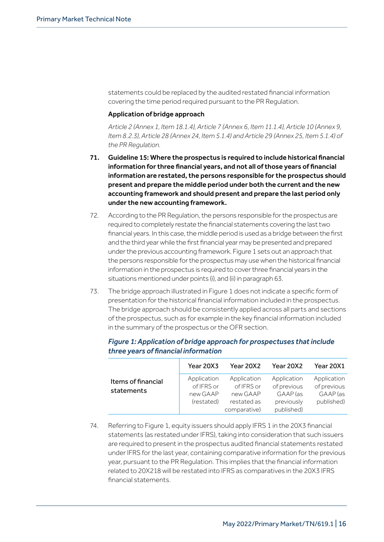statements could be replaced by the audited restated financial information covering the time period required pursuant to the PR Regulation.

## Application of bridge approach

*Article 2 (Annex 1, Item 18.1.4), Article 7 (Annex 6, Item 11.1.4), Article 10 (Annex 9, Item 8.2.3), Article 28 (Annex 24, Item 5.1.4) and Article 29 (Annex 25, Item 5.1.4) of the PR Regulation.*

- 71. Guideline 15: Where the prospectus is required to include historical financial information for three financial years, and not all of those years of financial information are restated, the persons responsible for the prospectus should present and prepare the middle period under both the current and the new accounting framework and should present and prepare the last period only under the new accounting framework.
- 72. According to the PR Regulation, the persons responsible for the prospectus are required to completely restate the financial statements covering the lasttwo financial years. In this case, the middle period is used as a bridge between the first and the third year while the first financial year may be presented and prepared under the previous accounting framework. Figure 1 sets out an approach that the persons responsible forthe prospectus may usewhen the historical financial information in the prospectus is required to cover three financial years in the situations mentioned under points (i), and (ii) in paragraph 63.
- 73. The bridge approach illustrated in Figure 1 does not indicate a specific form of presentation for the historical financial information included in the prospectus. The bridge approach should be consistently applied across all parts and sections of the prospectus, such as for example in the key financial information included in the summary of the prospectus or the OFR section.

|                                  | Year 20X3                                           | Year 20X2                                                            | Year 20X2                                                          | Year 20X1                                            |
|----------------------------------|-----------------------------------------------------|----------------------------------------------------------------------|--------------------------------------------------------------------|------------------------------------------------------|
| Items of financial<br>statements | Application<br>of IFRS or<br>new GAAP<br>(restated) | Application<br>of IFRS or<br>new GAAP<br>restated as<br>comparative) | Application<br>of previous<br>GAAP (as<br>previously<br>published) | Application<br>of previous<br>GAAP (as<br>published) |

 *Figure 1: Application of bridge approach for prospectuses that include three years of financial information*

74. Referring to Figure 1, equity issuers should apply IFRS 1 in the 20X3 financial statements (as restated under IFRS), taking into consideration that such issuers are required to present in the prospectus audited financial statements restated under IFRS for the last year, containing comparative information for the previous year, pursuant to the PR Regulation. This implies that the financial information related to 20X218 will be restated into IFRS as comparatives in the 20X3 IFRS financial statements.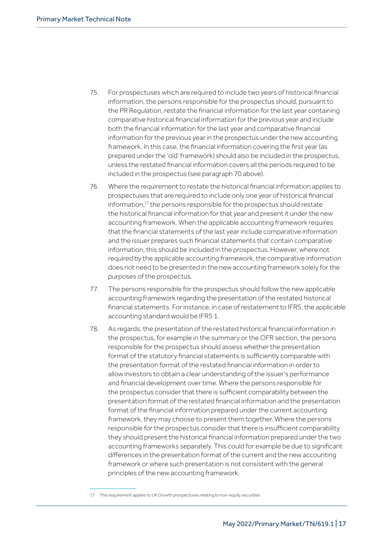- 75. For prospectuses which are required to include two years of historical financial information, the persons responsible for the prospectus should, pursuant to the PR Regulation, restate the financial information for the last year containing comparative historical financial information for the previous year and include both the financial information for the last year and comparative financial information for the previous year in the prospectus under the new accounting framework. In this case, the financial information covering the first year (as prepared under the 'old' framework) should also be included in the prospectus, unless the restated financial information covers all the periods required to be included in the prospectus (see paragraph 70 above).
- 76. Where the requirement to restate the historical financial information applies to prospectuses that are required to include only one year of historical financial information,<sup>17</sup> the persons responsible for the prospectus should restate the historical financial information for that year and present it under the new accounting framework. When the applicable accounting framework requires that the financial statements of the last year include comparative information and the issuer prepares such financial statements that contain comparative information, this should be included in the prospectus. However, where not required by the applicable accounting framework, the comparative information does not need to be presented in the new accounting framework solely for the purposes of the prospectus.
- 77. The persons responsible for the prospectus should follow the new applicable accounting framework regarding the presentation of the restated historical financial statements. For instance, in case of restatement to IFRS, the applicable accounting standard would be IFRS 1.
- 78. As regards, the presentation of the restated historical financial information in the prospectus, for example in the summary or the OFR section, the persons responsible for the prospectus should assess whether the presentation format of the statutory financial statements is sufficiently comparable with the presentation format of the restated financial information in order to allow investors to obtain a clear understanding of the issuer's performance and financial development over time. Where the persons responsible for the prospectus consider that there is sufficient comparability between the presentation format of the restated financial information and the presentation format of the financial information prepared under the current accounting framework, they may choose to present them together. Where the persons responsible for the prospectus consider that there is insufficient comparability they should present the historical financial information prepared under the two accounting frameworks separately. This could for example be due to significant differences in the presentation format of the current and the new accounting framework or where such presentation is not consistent with the general principles of the new accounting framework.

<sup>17</sup> This requirement applies to UK Growth prospectuses relating to non-equity securities.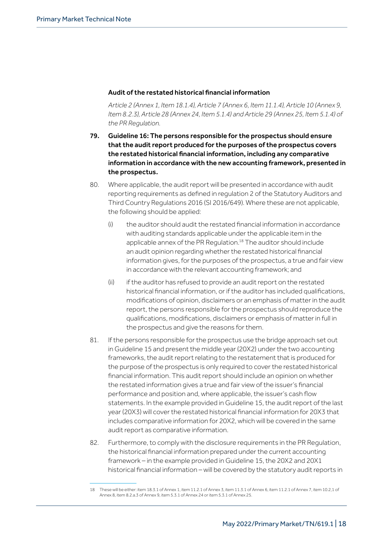## Audit of the restated historical financial information

*Article 2 (Annex 1, Item 18.1.4), Article 7 (Annex 6, Item 11.1.4), Article 10 (Annex 9, Item 8.2.3), Article 28 (Annex 24, Item 5.1.4) and Article 29 (Annex 25, Item 5.1.4) of the PR Regulation.*

- 79. Guideline 16: The persons responsible for the prospectus should ensure that the audit report produced for the purposes of the prospectus covers the restated historical financial information, including any comparative information in accordance with the new accounting framework, presented in the prospectus.
- 80. Where applicable, the audit report will be presented in accordance with audit reporting requirements as defined in regulation 2 of the Statutory Auditors and Third Country Regulations 2016 (SI 2016/649). Where these are not applicable, the following should be applied:
	- (i) the auditor should audit the restated financial information in accordance with auditing standards applicable under the applicable item in the applicable annex of the PR Regulation.<sup>18</sup> The auditor should include an audit opinion regarding whether the restated historical financial information gives, for the purposes of the prospectus, a true and fair view in accordance with the relevant accounting framework; and
	- (ii) if the auditor has refused to provide an audit report on the restated historical financial information, or if the auditor has included qualifications, modifications of opinion, disclaimers or an emphasis of matter in the audit report, the persons responsible for the prospectus should reproduce the qualifications, modifications, disclaimers or emphasis of matter in full in the prospectus and give the reasons for them.
- 81. If the persons responsible for the prospectus use the bridge approach set out in Guideline 15 and present the middle year (20X2) under the two accounting frameworks, the audit report relating to the restatement that is produced for the purpose of the prospectus is only required to cover the restated historical financial information. This audit report should include an opinion on whether the restated information gives a true and fair view of the issuer's financial performance and position and, where applicable, the issuer's cash flow statements. In the example provided in Guideline 15, the audit report of the last year (20X3) will cover the restated historical financial information for 20X3 that includes comparative information for 20X2, which will be covered in the same audit report as comparative information.
- 82. Furthermore, to comply with the disclosure requirements in the PR Regulation, the historical financial information prepared under the current accounting framework – in the example provided in Guideline 15, the 20X2 and 20X1 historical financial information – will be covered by the statutory audit reports in

<sup>18</sup> These will be either: item 18.3.1 of Annex 1, item 11.2.1 of Annex 3, item 11.3.1 of Annex 6, item 11.2.1 of Annex 7, item 10.2,1 of Annex 8, item 8.2.a.3 of Annex 9, item 5.3.1 of Annex 24 or item 5.3.1 of Annex 25.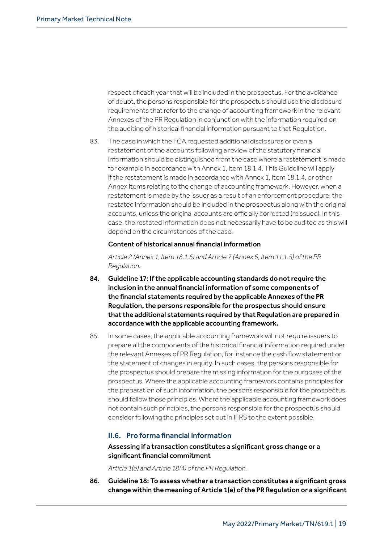respect of each year that will be included in the prospectus. For the avoidance of doubt, the persons responsible for the prospectus should use the disclosure requirements that refer to the change of accounting framework in the relevant Annexes of the PR Regulation in conjunction with the information required on the auditing of historical financial information pursuant to that Regulation.

83. The case in which the FCA requested additional disclosures or even a restatement of the accounts following a review of the statutory financial information should be distinguished from the case where a restatement is made for example in accordance with Annex 1, Item 18.1.4. This Guideline will apply if the restatement is made in accordance with Annex 1, Item 18.1.4, or other Annex Items relating to the change of accounting framework. However, when a restatement is made by the issuer as a result of an enforcement procedure, the restated information should be included in the prospectus along with the original accounts, unless the original accounts are officially corrected (reissued). In this case, the restated information does not necessarily have to be audited as this will depend on the circumstances of the case.

#### Content of historical annual financial information

*Article 2 (Annex 1, Item 18.1.5) and Article 7 (Annex 6, Item 11.1.5) of the PR Regulation.*

- 84. Guideline 17: If the applicable accounting standards do not require the inclusion in the annual financial information of some components of the financial statements required by the applicable Annexes of the PR Regulation, the persons responsible for the prospectus should ensure that the additional statements required by that Regulation are prepared in accordance with the applicable accounting framework.
- 85. In some cases, the applicable accounting framework will not require issuers to prepare all the components of the historical financial information required under the relevant Annexes of PR Regulation, for instance the cash flow statement or the statement of changes in equity. In such cases, the persons responsible for the prospectus should prepare the missing information for the purposes of the prospectus. Where the applicable accounting framework contains principles for the preparation of such information, the persons responsible for the prospectus should follow those principles. Where the applicable accounting framework does not contain such principles, the persons responsible for the prospectus should consider following the principles set out in IFRS to the extent possible.

## II.6. Pro forma financial information

## Assessing if a transaction constitutes a significant gross change or a significant financial commitment

*Article 1(e) and Article 18(4) of the PR Regulation.*

86. Guideline 18: To assess whether a transaction constitutes a significant gross change within the meaning of Article 1(e) of the PR Regulation or a significant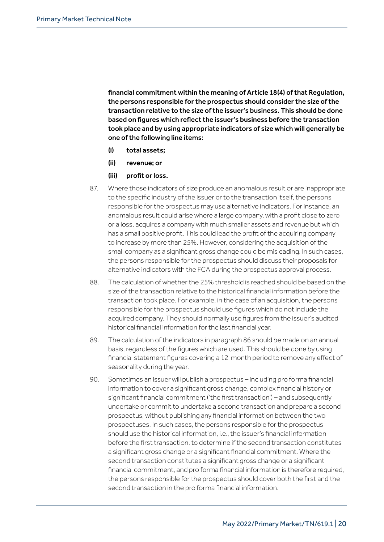financial commitment within the meaning of Article 18(4) of that Regulation, the persons responsible for the prospectus should consider the size of the transaction relative to the size of the issuer's business. This should be done based on figures which reflect the issuer's business before the transaction took place and by using appropriate indicators of size which will generally be one of the following line items:

- (i) total assets;
- (ii) revenue; or
- (iii) profit or loss.
- 87. Where those indicators of size produce an anomalous result or are inappropriate to the specific industry of the issuer or to the transaction itself, the persons responsible for the prospectus may use alternative indicators. For instance, an anomalous result could arise where a large company, with a profit close to zero or a loss, acquires a company with much smaller assets and revenue but which has a small positive profit. This could lead the profit of the acquiring company to increase by more than 25%. However, considering the acquisition of the small company as a significant gross change could be misleading. In such cases, the persons responsible for the prospectus should discuss their proposals for alternative indicators with the FCA during the prospectus approval process.
- 88. The calculation of whether the 25% threshold is reached should be based on the size of the transaction relative to the historical financial information before the transaction took place. For example, in the case of an acquisition, the persons responsible for the prospectus should use figures which do not include the acquired company. They should normally use figures from the issuer's audited historical financial information for the last financial year.
- 89. The calculation of the indicators in paragraph 86 should be made on an annual basis, regardless of the figures which are used. This should be done by using financial statement figures covering a 12-month period to remove any effect of seasonality during the year.
- 90. Sometimes an issuer will publish a prospectus including pro forma financial information to cover a significant gross change, complex financial history or significant financial commitment ('the first transaction') – and subsequently undertake or commit to undertake a second transaction and prepare a second prospectus, without publishing any financial information between the two prospectuses. In such cases, the persons responsible for the prospectus should use the historical information, i.e., the issuer's financial information before the first transaction, to determine if the second transaction constitutes a significant gross change or a significant financial commitment. Where the second transaction constitutes a significant gross change or a significant financial commitment, and pro forma financial information is therefore required, the persons responsible for the prospectus should cover both the first and the second transaction in the pro forma financial information.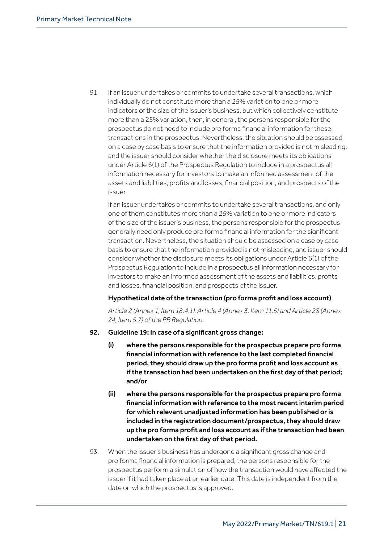91. If an issuer undertakes or commits to undertake several transactions, which individually do not constitute more than a 25% variation to one or more indicators of the size of the issuer's business, but which collectively constitute more than a 25% variation, then, in general, the persons responsible for the prospectus do not need to include pro forma financial information for these transactions in the prospectus. Nevertheless, the situation should be assessed on a case by case basis to ensure that the information provided is not misleading, and the issuer should consider whether the disclosure meets its obligations under Article 6(1) of the Prospectus Regulation to include in a prospectus all information necessary for investors to make an informed assessment of the assets and liabilities, profits and losses, financial position, and prospects of the issuer.

If an issuer undertakes or commits to undertake several transactions, and only one of them constitutes more than a 25% variation to one or more indicators of the size of the issuer's business, the persons responsible for the prospectus generally need only produce pro forma financial information for the significant transaction. Nevertheless, the situation should be assessed on a case by case basis to ensure that the information provided is not misleading, and issuer should consider whether the disclosure meets its obligations under Article 6(1) of the Prospectus Regulation to include in a prospectus all information necessary for investors to make an informed assessment of the assets and liabilities, profits and losses, financial position, and prospects of the issuer.

## Hypothetical date of the transaction (pro forma profit and loss account)

*Article 2 (Annex 1, Item 18.4.1), Article 4 (Annex 3, Item 11.5) and Article 28 (Annex 24, Item 5.7) of the PR Regulation.*

## 92. Guideline 19: In case of a significant gross change:

- (i) where the persons responsible for the prospectus prepare pro forma financial information with reference to the last completed financial period, they should draw up the pro forma profit and loss account as if the transaction had been undertaken on the first day of that period; and/or
- (ii) where the persons responsible for the prospectus prepare pro forma financial information with reference to the most recent interim period for which relevant unadjusted information has been published or is included in the registration document/prospectus, they should draw up the pro forma profit and loss account as if the transaction had been undertaken on the first day of that period.
- 93. When the issuer's business has undergone a significant gross change and pro forma financial information is prepared, the persons responsible for the prospectus perform a simulation of how the transaction would have affected the issuer if it had taken place at an earlier date. This date is independent from the date on which the prospectus is approved.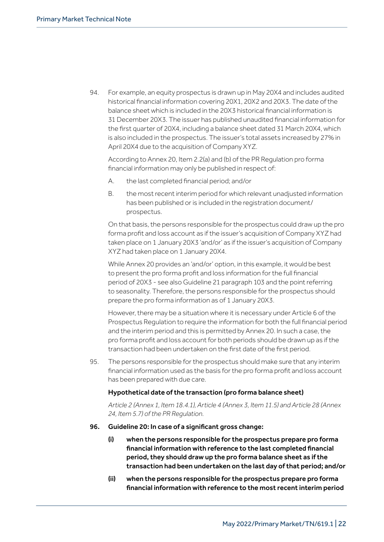94. For example, an equity prospectus is drawn up in May 20X4 and includes audited historical financial information covering 20X1, 20X2 and 20X3. The date of the balance sheet which is included in the 20X3 historical financial information is 31 December 20X3. The issuer has published unaudited financial information for the first quarter of 20X4, including a balance sheet dated 31 March 20X4, which is also included in the prospectus. The issuer's total assets increased by 27% in April 20X4 due to the acquisition of Company XYZ.

According to Annex 20, Item 2.2(a) and (b) of the PR Regulation pro forma financial information may only be published in respect of:

- A. the last completed financial period; and/or
- B. the most recent interim period for which relevant unadjusted information has been published or is included in the registration document/ prospectus.

On that basis, the persons responsible for the prospectus could draw up the pro forma profit and loss account as if the issuer's acquisition of Company XYZ had taken place on 1 January 20X3 'and/or' as if the issuer's acquisition of Company XYZ had taken place on 1 January 20X4.

While Annex 20 provides an 'and/or' option, in this example, it would be best to present the pro forma profit and loss information for the full financial period of 20X3 - see also Guideline 21 paragraph 103 and the point referring to seasonality. Therefore, the persons responsible for the prospectus should prepare the pro forma information as of 1 January 20X3.

However, there may be a situation where it is necessary under Article 6 of the Prospectus Regulation to require the information for both the full financial period and the interim period and this is permitted by Annex 20. In such a case, the pro forma profit and loss account for both periods should be drawn up as if the transaction had been undertaken on the first date of the first period.

95. The persons responsible for the prospectus should make sure that any interim financial information used as the basis for the pro forma profit and loss account has been prepared with due care.

## Hypothetical date of the transaction (pro forma balance sheet)

*Article 2 (Annex 1, Item 18.4.1), Article 4 (Annex 3, Item 11.5) and Article 28 (Annex 24, Item 5.7) of the PR Regulation.*

## 96. Guideline 20: In case of a significant gross change:

- (i) when the persons responsible for the prospectus prepare pro forma financial information with reference to the last completed financial period, they should draw up the pro forma balance sheet as if the transaction had been undertaken on the last day of that period; and/or
- (ii) when the persons responsible for the prospectus prepare pro forma financial information with reference to the most recent interim period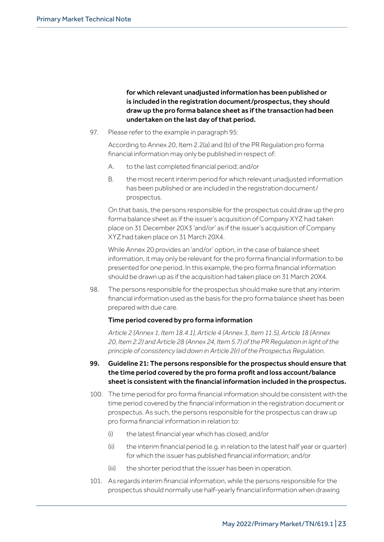for which relevant unadjusted information has been published or is included in the registration document/prospectus, they should draw up the pro forma balance sheet as if the transaction had been undertaken on the last day of that period.

97. Please refer to the example in paragraph 95:

According to Annex 20, Item 2.2(a) and (b) of the PR Regulation pro forma financial information may only be published in respect of:

- A. to the last completed financial period; and/or
- B. the most recent interim period for which relevant unadjusted information has been published or are included in the registration document/ prospectus.

On that basis, the persons responsible for the prospectus could draw up the pro forma balance sheet as if the issuer's acquisition of Company XYZ had taken place on 31 December 20X3 'and/or' as if the issuer's acquisition of Company XYZ had taken place on 31 March 20X4.

While Annex 20 provides an 'and/or' option, in the case of balance sheet information, it may only be relevant for the pro forma financial information to be presented for one period. In this example, the pro forma financial information should be drawn up as if the acquisition had taken place on 31 March 20X4.

98. The persons responsible for the prospectus should make sure that any interim financial information used as the basis for the pro forma balance sheet has been prepared with due care.

## Time period covered by pro forma information

*Article 2 (Annex 1, Item 18.4.1), Article 4 (Annex 3, Item 11.5), Article 18 (Annex 20, Item 2.2) and Article 28 (Annex 24, Item 5.7) of the PR Regulation in light of the principle of consistency laid down in Article 2(r) of the Prospectus Regulation.*

## 99. Guideline 21: The persons responsible for the prospectus should ensure that the time period covered by the pro forma profit and loss account/balance sheet is consistent with the financial information included in the prospectus.

- 100. The time period for pro forma financial information should be consistent with the time period covered by the financial information in the registration document or prospectus. As such, the persons responsible for the prospectus can draw up pro forma financial information in relation to:
	- (i) the latest financial year which has closed; and/or
	- (ii) the interim financial period (e.g. in relation to the latest half year or quarter) for which the issuer has published financial information; and/or
	- (iii) the shorter period that the issuer has been in operation.
- 101. As regards interim financial information, while the persons responsible for the prospectus should normally use half-yearly financial information when drawing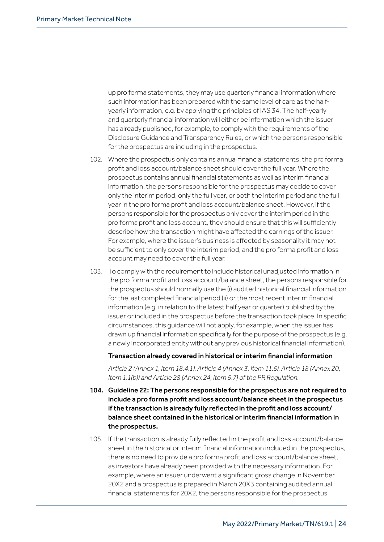up pro forma statements, they may use quarterly financial information where such information has been prepared with the same level of care as the halfyearly information, e.g. by applying the principles of IAS 34. The half-yearly and quarterly financial information will either be information which the issuer has already published, for example, to comply with the requirements of the Disclosure Guidance and Transparency Rules, or which the persons responsible for the prospectus are including in the prospectus.

- 102. Where the prospectus only contains annual financial statements, the pro forma profit and loss account/balance sheet should cover the full year. Where the prospectus contains annual financial statements as well as interim financial information, the persons responsible for the prospectus may decide to cover only the interim period, only the full year, or both the interim period and the full year in the pro forma profit and loss account/balance sheet. However, if the persons responsible for the prospectus only cover the interim period in the pro forma profit and loss account, they should ensure that this will sufficiently describe how the transaction might have affected the earnings of the issuer. For example, where the issuer's business is affected by seasonality it may not be sufficient to only cover the interim period, and the pro forma profit and loss account may need to cover the full year.
- 103. To comply with the requirement to include historical unadjusted information in the pro forma profit and loss account/balance sheet, the persons responsible for the prospectus should normally use the (i) audited historical financial information for the last completed financial period (ii) or the most recent interim financial information (e.g. in relation to the latest half year or quarter) published by the issuer or included in the prospectus before the transaction took place. In specific circumstances, this guidance will not apply, for example, when the issuer has drawn up financial information specifically for the purpose of the prospectus (e.g. a newly incorporated entity without any previous historical financial information).

#### Transaction already covered in historical or interim financial information

*Article 2 (Annex 1, Item 18.4.1), Article 4 (Annex 3, Item 11.5), Article 18 (Annex 20, Item 1.1(b)) and Article 28 (Annex 24, Item 5.7) of the PR Regulation.*

- 104. Guideline 22: The persons responsible for the prospectus are not required to include a pro forma profit and loss account/balance sheet in the prospectus if the transaction is already fully reflected in the profit and loss account/ balance sheet contained in the historical or interim financial information in the prospectus.
- 105. If the transaction is already fully reflected in the profit and loss account/balance sheet in the historical or interim financial information included in the prospectus, there is no need to provide a pro forma profit and loss account/balance sheet, as investors have already been provided with the necessary information. For example, where an issuer underwent a significant gross change in November 20X2 and a prospectus is prepared in March 20X3 containing audited annual financial statements for 20X2, the persons responsible for the prospectus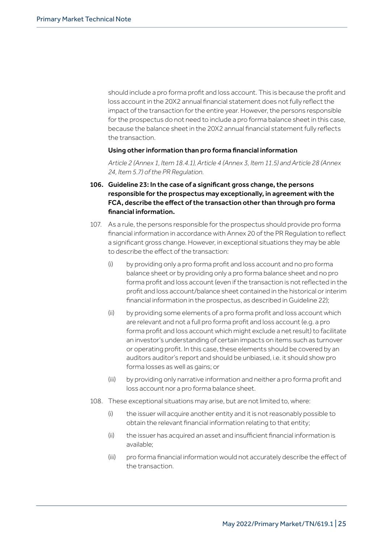should include a pro forma profit and loss account. This is because the profit and loss account in the 20X2 annual financial statement does not fully reflect the impact of the transaction for the entire year. However, the persons responsible for the prospectus do not need to include a pro forma balance sheet in this case, because the balance sheet in the 20X2 annual financial statement fully reflects the transaction.

#### Using other information than pro forma financial information

*Article 2 (Annex 1, Item 18.4.1), Article 4 (Annex 3, Item 11.5) and Article 28 (Annex 24, Item 5.7) of the PR Regulation.*

- 106. Guideline 23: In the case of a significant gross change, the persons responsible for the prospectus may exceptionally, in agreement with the FCA, describe the effect of the transaction other than through pro forma financial information.
- 107. As a rule, the persons responsible for the prospectus should provide pro forma financial information in accordance with Annex 20 of the PR Regulation to reflect a significant gross change. However, in exceptional situations they may be able to describe the effect of the transaction:
	- (i) by providing only a pro forma profit and loss account and no pro forma balance sheet or by providing only a pro forma balance sheet and no pro forma profit and loss account (even if the transaction is not reflected in the profit and loss account/balance sheet contained in the historical or interim financial information in the prospectus, as described in Guideline 22);
	- (ii) by providing some elements of a pro forma profit and loss account which are relevant and not a full pro forma profit and loss account (e.g. a pro forma profit and loss account which might exclude a net result) to facilitate an investor's understanding of certain impacts on items such as turnover or operating profit. In this case, these elements should be covered by an auditors auditor's report and should be unbiased, i.e. it should show pro forma losses as well as gains; or
	- (iii) by providing only narrative information and neither a pro forma profit and loss account nor a pro forma balance sheet.
- 108. These exceptional situations may arise, but are not limited to, where:
	- (i) the issuer will acquire another entity and it is not reasonably possible to obtain the relevant financial information relating to that entity;
	- (ii) the issuer has acquired an asset and insufficient financial information is available;
	- (iii) pro forma financial information would not accurately describe the effect of the transaction.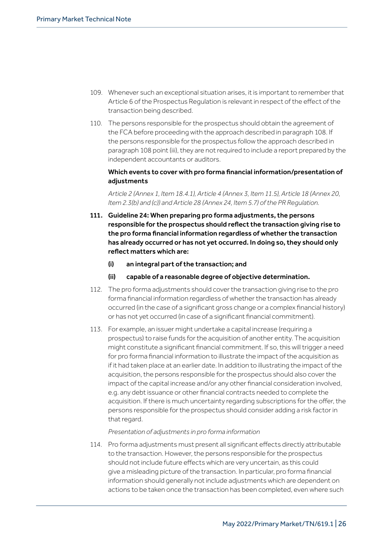- 109. Whenever such an exceptional situation arises, it is important to remember that Article 6 of the Prospectus Regulation is relevant in respect of the effect of the transaction being described.
- 110. The persons responsible for the prospectus should obtain the agreement of the FCA before proceeding with the approach described in paragraph 108. If the persons responsible for the prospectus follow the approach described in paragraph 108 point (iii), they are not required to include a report prepared by the independent accountants or auditors.

## Which events to cover with pro forma financial information/presentation of adjustments

*Article 2 (Annex 1, Item 18.4.1), Article 4 (Annex 3, Item 11.5), Article 18 (Annex 20, Item 2.3(b) and (c)) and Article 28 (Annex 24, Item 5.7) of the PR Regulation.*

- 111. Guideline 24: When preparing pro forma adjustments, the persons responsible for the prospectus should reflect the transaction giving rise to the pro forma financial information regardless of whether the transaction has already occurred or has not yet occurred. In doing so, they should only reflect matters which are:
	- (i) an integral part of the transaction; and
	- (ii) capable of a reasonable degree of objective determination.
- 112. The pro forma adjustments should cover the transaction giving rise to the pro forma financial information regardless of whether the transaction has already occurred (in the case of a significant gross change or a complex financial history) or has not yet occurred (in case of a significant financial commitment).
- 113. For example, an issuer might undertake a capital increase (requiring a prospectus) to raise funds for the acquisition of another entity. The acquisition might constitute a significant financial commitment. If so, this will trigger a need for pro forma financial information to illustrate the impact of the acquisition as if it had taken place at an earlier date. In addition to illustrating the impact of the acquisition, the persons responsible for the prospectus should also cover the impact of the capital increase and/or any other financial consideration involved, e.g. any debt issuance or other financial contracts needed to complete the acquisition. If there is much uncertainty regarding subscriptions for the offer, the persons responsible for the prospectus should consider adding a risk factor in that regard.

## *Presentation of adjustments in pro forma information*

114. Pro forma adjustments must present all significant effects directly attributable to the transaction. However, the persons responsible for the prospectus should not include future effects which are very uncertain, as this could give a misleading picture of the transaction. In particular, pro forma financial information should generally not include adjustments which are dependent on actions to be taken once the transaction has been completed, even where such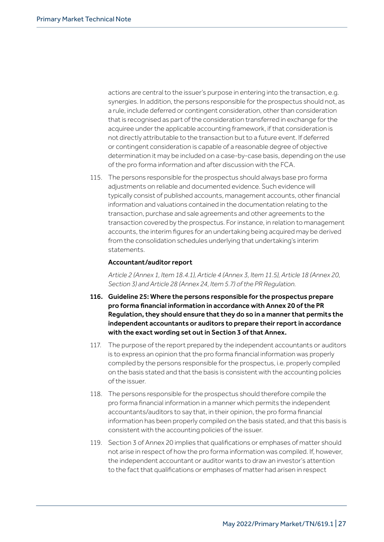actions are central to the issuer's purpose in entering into the transaction, e.g. synergies. In addition, the persons responsible for the prospectus should not, as a rule, include deferred or contingent consideration, other than consideration that is recognised as part of the consideration transferred in exchange for the acquiree under the applicable accounting framework, if that consideration is not directly attributable to the transaction but to a future event. If deferred or contingent consideration is capable of a reasonable degree of objective determination it may be included on a case-by-case basis, depending on the use of the pro forma information and after discussion with the FCA.

115. The persons responsible for the prospectus should always base pro forma adjustments on reliable and documented evidence. Such evidence will typically consist of published accounts, management accounts, other financial information and valuations contained in the documentation relating to the transaction, purchase and sale agreements and other agreements to the transaction covered by the prospectus. For instance, in relation to management accounts, the interim figures for an undertaking being acquired may be derived from the consolidation schedules underlying that undertaking's interim statements.

#### Accountant/auditor report

*Article 2 (Annex 1, Item 18.4.1), Article 4 (Annex 3, Item 11.5), Article 18 (Annex 20, Section 3) and Article 28 (Annex 24, Item 5.7) of the PR Regulation.*

- 116. Guideline 25: Where the persons responsible for the prospectus prepare pro forma financial information in accordance with Annex 20 of the PR Regulation, they should ensure that they do so in a manner that permits the independent accountants or auditors to prepare their report in accordance with the exact wording set out in Section 3 of that Annex.
- 117. The purpose of the report prepared by the independent accountants or auditors is to express an opinion that the pro forma financial information was properly compiled by the persons responsible for the prospectus, i.e. properly compiled on the basis stated and that the basis is consistent with the accounting policies of the issuer.
- 118. The persons responsible for the prospectus should therefore compile the pro forma financial information in a manner which permits the independent accountants/auditors to say that, in their opinion, the pro forma financial information has been properly compiled on the basis stated, and that this basis is consistent with the accounting policies of the issuer.
- 119. Section 3 of Annex 20 implies that qualifications or emphases of matter should not arise in respect of how the pro forma information was compiled. If, however, the independent accountant or auditor wants to draw an investor's attention to the fact that qualifications or emphases of matter had arisen in respect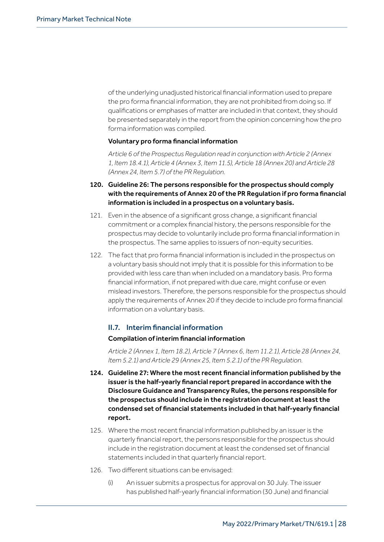of the underlying unadjusted historical financial information used to prepare the pro forma financial information, they are not prohibited from doing so. If qualifications or emphases of matter are included in that context, they should be presented separately in the report from the opinion concerning how the pro forma information was compiled.

#### Voluntary pro forma financial information

*Article 6 of the Prospectus Regulation read in conjunction with Article 2 (Annex 1, Item 18.4.1), Article 4 (Annex 3, Item 11.5), Article 18 (Annex 20) and Article 28 (Annex 24, Item 5.7) of the PR Regulation.*

- 120. Guideline 26: The persons responsible for the prospectus should comply with the requirements of Annex 20 of the PR Regulation if pro forma financial information is included in a prospectus on a voluntary basis.
- 121. Even in the absence of a significant gross change, a significant financial commitment or a complex financial history, the persons responsible for the prospectus may decide to voluntarily include pro forma financial information in the prospectus. The same applies to issuers of non-equity securities.
- 122. The fact that pro forma financial information is included in the prospectus on a voluntary basis should not imply that it is possible for this information to be provided with less care than when included on a mandatory basis. Pro forma financial information, if not prepared with due care, might confuse or even mislead investors. Therefore, the persons responsible for the prospectus should apply the requirements of Annex 20 if they decide to include pro forma financial information on a voluntary basis.

## II.7. Interim financial information

## Compilation of interim financial information

*Article 2 (Annex 1, Item 18.2), Article 7 (Annex 6, Item 11.2.1), Article 28 (Annex 24, Item 5.2.1) and Article 29 (Annex 25, Item 5.2.1) of the PR Regulation.*

- 124. Guideline 27: Where the most recent financial information published by the issuer is the half-yearly financial report prepared in accordance with the Disclosure Guidance and Transparency Rules, the persons responsible for the prospectus should include in the registration document at least the condensed set of financial statements included in that half-yearly financial report.
- 125. Where the most recent financial information published by an issuer is the quarterly financial report, the persons responsible for the prospectus should include in the registration document at least the condensed set of financial statements included in that quarterly financial report.
- 126. Two different situations can be envisaged:
	- (i) An issuer submits a prospectus for approval on 30 July. The issuer has published half-yearly financial information (30 June) and financial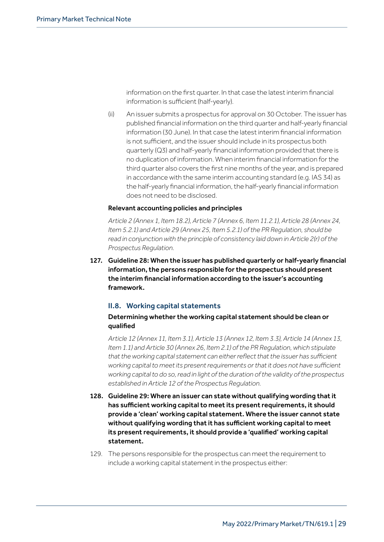information on the first quarter. In that case the latest interim financial information is sufficient (half-yearly).

(ii) An issuer submits a prospectus for approval on 30 October. The issuer has published financial information on the third quarter and half-yearly financial information (30 June). In that case the latest interim financial information is not sufficient, and the issuer should include in its prospectus both quarterly (Q3) and half-yearly financial information provided that there is no duplication of information. When interim financial information for the third quarter also covers the first nine months of the year, and is prepared in accordance with the same interim accounting standard (e.g. IAS 34) as the half-yearly financial information, the half-yearly financial information does not need to be disclosed.

## Relevant accounting policies and principles

*Article 2 (Annex 1, Item 18.2), Article 7 (Annex 6, Item 11.2.1), Article 28 (Annex 24, Item 5.2.1) and Article 29 (Annex 25, Item 5.2.1) of the PR Regulation, should be read in conjunction with the principle of consistency laid down in Article 2(r) of the Prospectus Regulation.*

127. Guideline 28: When the issuer has published quarterly or half-yearly financial information, the persons responsible for the prospectus should present the interim financial information according to the issuer's accounting framework.

## II.8. Working capital statements

## Determining whether the working capital statement should be clean or qualified

*Article 12 (Annex 11, Item 3.1), Article 13 (Annex 12, Item 3.3), Article 14 (Annex 13, Item 1.1) and Article 30 (Annex 26, Item 2.1) of the PR Regulation, which stipulate that the working capital statement can either reflect that the issuer has sufficient working capital to meet its present requirements or that it does not have sufficient working capital to do so, read in light of the duration of the validity of the prospectus established in Article 12 of the Prospectus Regulation.*

- 128. Guideline 29: Where an issuer can state without qualifying wording that it has sufficient working capital to meet its present requirements, it should provide a 'clean' working capital statement. Where the issuer cannot state without qualifying wording that it has sufficient working capital to meet its present requirements, it should provide a 'qualified' working capital statement.
- 129. The persons responsible for the prospectus can meet the requirement to include a working capital statement in the prospectus either: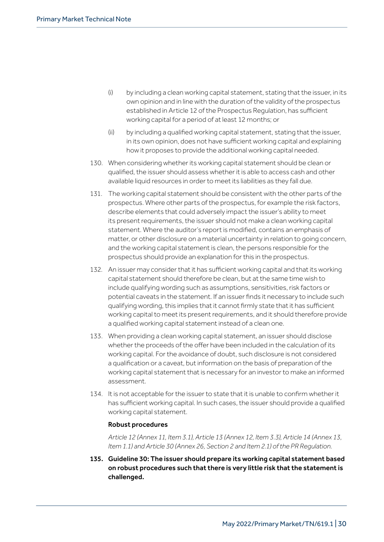- (i) by including a clean working capital statement, stating that the issuer, in its own opinion and in line with the duration of the validity of the prospectus established in Article 12 of the Prospectus Regulation, has sufficient working capital for a period of at least 12 months; or
- (ii) by including a qualified working capital statement, stating that the issuer, in its own opinion, does not have sufficient working capital and explaining how it proposes to provide the additional working capital needed.
- 130. When considering whether its working capital statement should be clean or qualified, the issuer should assess whether it is able to access cash and other available liquid resources in order to meet its liabilities as they fall due.
- 131. The working capital statement should be consistent with the other parts of the prospectus. Where other parts of the prospectus, for example the risk factors, describe elements that could adversely impact the issuer's ability to meet its present requirements, the issuer should not make a clean working capital statement. Where the auditor's report is modified, contains an emphasis of matter, or other disclosure on a material uncertainty in relation to going concern, and the working capital statement is clean, the persons responsible for the prospectus should provide an explanation for this in the prospectus.
- 132. An issuer may consider that it has sufficient working capital and that its working capital statement should therefore be clean, but at the same time wish to include qualifying wording such as assumptions, sensitivities, risk factors or potential caveats in the statement. If an issuer finds it necessary to include such qualifying wording, this implies that it cannot firmly state that it has sufficient working capital to meet its present requirements, and it should therefore provide a qualified working capital statement instead of a clean one.
- 133. When providing a clean working capital statement, an issuer should disclose whether the proceeds of the offer have been included in the calculation of its working capital. For the avoidance of doubt, such disclosure is not considered a qualification or a caveat, but information on the basis of preparation of the working capital statement that is necessary for an investor to make an informed assessment.
- 134. It is not acceptable for the issuer to state that it is unable to confirm whether it has sufficient working capital. In such cases, the issuer should provide a qualified working capital statement.

## Robust procedures

*Article 12 (Annex 11, Item 3.1), Article 13 (Annex 12, Item 3.3), Article 14 (Annex 13, Item 1.1) and Article 30 (Annex 26, Section 2 and Item 2.1) of the PR Regulation.*

135. Guideline 30: The issuer should prepare its working capital statement based on robust procedures such that there is very little risk that the statement is challenged.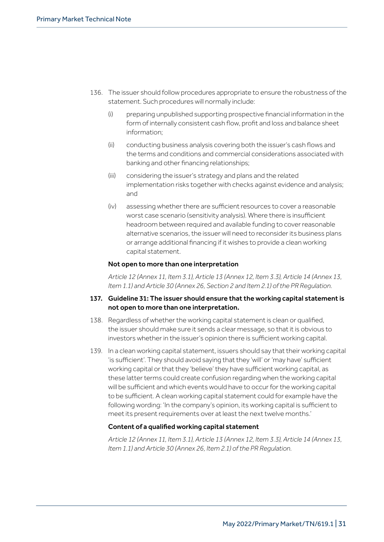- 136. The issuer should follow procedures appropriate to ensure the robustness of the statement. Such procedures will normally include:
	- (i) preparing unpublished supporting prospective financial information in the form of internally consistent cash flow, profit and loss and balance sheet information;
	- (ii) conducting business analysis covering both the issuer's cash flows and the terms and conditions and commercial considerations associated with banking and other financing relationships;
	- (iii) considering the issuer's strategy and plans and the related implementation risks together with checks against evidence and analysis; and
	- (iv) assessing whether there are sufficient resources to cover a reasonable worst case scenario (sensitivity analysis). Where there is insufficient headroom between required and available funding to cover reasonable alternative scenarios, the issuer will need to reconsider its business plans or arrange additional financing if it wishes to provide a clean working capital statement.

## Not open to more than one interpretation

*Article 12 (Annex 11, Item 3.1), Article 13 (Annex 12, Item 3.3), Article 14 (Annex 13, Item 1.1) and Article 30 (Annex 26, Section 2 and Item 2.1) of the PR Regulation.*

## 137. Guideline 31: The issuer should ensure that the working capital statement is not open to more than one interpretation.

- 138. Regardless of whether the working capital statement is clean or qualified, the issuer should make sure it sends a clear message, so that it is obvious to investors whether in the issuer's opinion there is sufficient working capital.
- 139. In a clean working capital statement, issuers should say that their working capital 'is sufficient'. They should avoid saying that they 'will' or 'may have' sufficient working capital or that they 'believe' they have sufficient working capital, as these latter terms could create confusion regarding when the working capital will be sufficient and which events would have to occur for the working capital to be sufficient. A clean working capital statement could for example have the following wording: 'In the company's opinion, its working capital is sufficient to meet its present requirements over at least the next twelve months.'

## Content of a qualified working capital statement

*Article 12 (Annex 11, Item 3.1), Article 13 (Annex 12, Item 3.3), Article 14 (Annex 13, Item 1.1) and Article 30 (Annex 26, Item 2.1) of the PR Regulation.*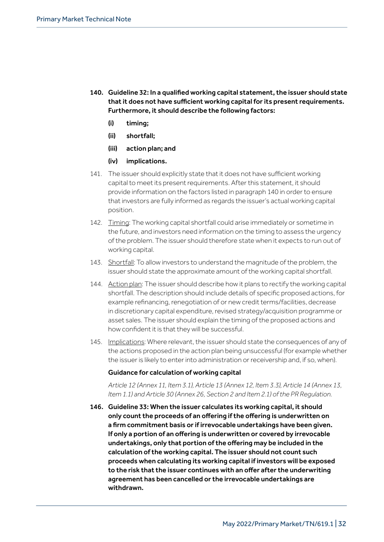- 140. Guideline 32: In a qualified working capital statement, the issuer should state that it does not have sufficient working capital for its present requirements. Furthermore, it should describe the following factors:
	- (i) timing;
	- (ii) shortfall;
	- (iii) action plan; and
	- (iv) implications.
- 141. The issuer should explicitly state that it does not have sufficient working capital to meet its present requirements. After this statement, it should provide information on the factors listed in paragraph 140 in order to ensure that investors are fully informed as regards the issuer's actual working capital position.
- 142. Timing: The working capital shortfall could arise immediately or sometime in the future, and investors need information on the timing to assess the urgency of the problem. The issuer should therefore state when it expects to run out of working capital.
- 143. Shortfall: To allow investors to understand the magnitude of the problem, the issuer should state the approximate amount of the working capital shortfall.
- 144. Action plan: The issuer should describe how it plans to rectify the working capital shortfall. The description should include details of specific proposed actions, for example refinancing, renegotiation of or new credit terms/facilities, decrease in discretionary capital expenditure, revised strategy/acquisition programme or asset sales. The issuer should explain the timing of the proposed actions and how confident it is that they will be successful.
- 145. Implications: Where relevant, the issuer should state the consequences of any of the actions proposed in the action plan being unsuccessful (for example whether the issuer is likely to enter into administration or receivership and, if so, when).

#### Guidance for calculation of working capital

*Article 12 (Annex 11, Item 3.1), Article 13 (Annex 12, Item 3.3), Article 14 (Annex 13, Item 1.1) and Article 30 (Annex 26, Section 2 and Item 2.1) of the PR Regulation.*

146. Guideline 33: When the issuer calculates its working capital, it should only count the proceeds of an offering if the offering is underwritten on a firm commitment basis or if irrevocable undertakings have been given. If only a portion of an offering is underwritten or covered by irrevocable undertakings, only that portion of the offering may be included in the calculation of the working capital. The issuer should not count such proceeds when calculating its working capital if investors will be exposed to the risk that the issuer continues with an offer after the underwriting agreement has been cancelled or the irrevocable undertakings are withdrawn.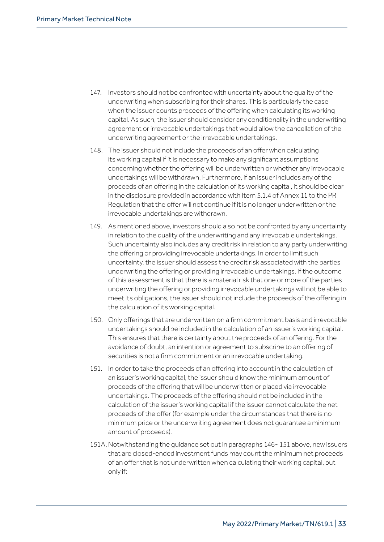- 147. Investors should not be confronted with uncertainty about the quality of the underwriting when subscribing for their shares. This is particularly the case when the issuer counts proceeds of the offering when calculating its working capital. As such, the issuer should consider any conditionality in the underwriting agreement or irrevocable undertakings that would allow the cancellation of the underwriting agreement or the irrevocable undertakings.
- 148. The issuer should not include the proceeds of an offer when calculating its working capital if it is necessary to make any significant assumptions concerning whether the offering will be underwritten or whether any irrevocable undertakings will be withdrawn. Furthermore, if an issuer includes any of the proceeds of an offering in the calculation of its working capital, it should be clear in the disclosure provided in accordance with Item 5.1.4 of Annex 11 to the PR Regulation that the offer will not continue if it is no longer underwritten or the irrevocable undertakings are withdrawn.
- 149. As mentioned above, investors should also not be confronted by any uncertainty in relation to the quality of the underwriting and any irrevocable undertakings. Such uncertainty also includes any credit risk in relation to any party underwriting the offering or providing irrevocable undertakings. In order to limit such uncertainty, the issuer should assess the credit risk associated with the parties underwriting the offering or providing irrevocable undertakings. If the outcome of this assessment is that there is a material risk that one or more of the parties underwriting the offering or providing irrevocable undertakings will not be able to meet its obligations, the issuer should not include the proceeds of the offering in the calculation of its working capital.
- 150. Only offerings that are underwritten on a firm commitment basis and irrevocable undertakings should be included in the calculation of an issuer's working capital. This ensures that there is certainty about the proceeds of an offering. For the avoidance of doubt, an intention or agreement to subscribe to an offering of securities is not a firm commitment or an irrevocable undertaking.
- 151. In order to take the proceeds of an offering into account in the calculation of an issuer's working capital, the issuer should know the minimum amount of proceeds of the offering that will be underwritten or placed via irrevocable undertakings. The proceeds of the offering should not be included in the calculation of the issuer's working capital if the issuer cannot calculate the net proceeds of the offer (for example under the circumstances that there is no minimum price or the underwriting agreement does not guarantee a minimum amount of proceeds).
- 151A. Notwithstanding the guidance set out in paragraphs 146-151 above, new issuers that are closed-ended investment funds may count the minimum net proceeds of an offer that is not underwritten when calculating their working capital, but only if: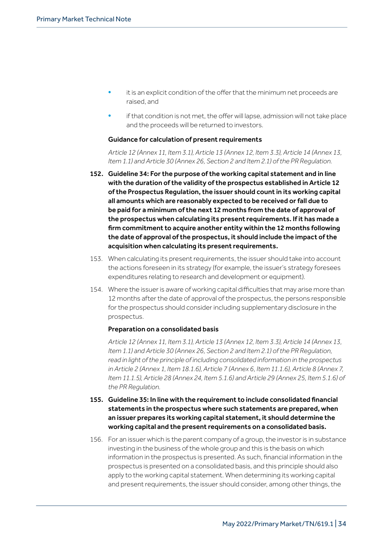- it is an explicit condition of the offer that the minimum net proceeds are raised, and
- if that condition is not met, the offer will lapse, admission will not take place and the proceeds will be returned to investors.

#### Guidance for calculation of present requirements

 *Article 12 (Annex 11, Item 3.1), Article 13 (Annex 12, Item 3.3), Article 14 (Annex 13, Item 1.1) and Article 30 (Annex 26, Section 2 and Item 2.1) of the PR Regulation.*

- 152. Guideline 34: For the purpose of the working capital statement and in line with the duration of the validity of the prospectus established in Article 12 of the Prospectus Regulation, the issuer should count in its working capital all amounts which are reasonably expected to be received or fall due to be paid for a minimum of the next 12 months from the date of approval of the prospectus when calculating its present requirements. If it has made a firm commitment to acquire another entity within the 12 months following the date of approval of the prospectus, it should include the impact of the acquisition when calculating its present requirements.
- 153. When calculating its present requirements, the issuer should take into account the actions foreseen in its strategy (for example, the issuer's strategy foresees expenditures relating to research and development or equipment).
- 154. Where the issuer is aware of working capital difficulties that may arise more than 12 months after the date of approval of the prospectus, the persons responsible for the prospectus should consider including supplementary disclosure in the prospectus.

## Preparation on a consolidated basis

 *Article 12 (Annex 11, Item 3.1), Article 13 (Annex 12, Item 3.3), Article 14 (Annex 13, Item 1.1) and Article 30 (Annex 26, Section 2 and Item 2.1) of the PR Regulation, read in light of the principle of including consolidated information in the prospectus in Article 2 (Annex 1, Item 18.1.6), Article 7 (Annex 6, Item 11.1.6), Article 8 (Annex 7, Item 11.1.5), Article 28 (Annex 24, Item 5.1.6) and Article 29 (Annex 25, Item 5.1.6) of the PR Regulation.*

## 155. Guideline 35: In line with the requirement to include consolidated financial statements in the prospectus where such statements are prepared, when an issuer prepares its working capital statement, it should determine the working capital and the present requirements on a consolidated basis.

156. For an issuer which is the parent company of a group, the investor is in substance investing in the business of the whole group and this is the basis on which information in the prospectus is presented. As such, financial information in the prospectus is presented on a consolidated basis, and this principle should also apply to the working capital statement. When determining its working capital and present requirements, the issuer should consider, among other things, the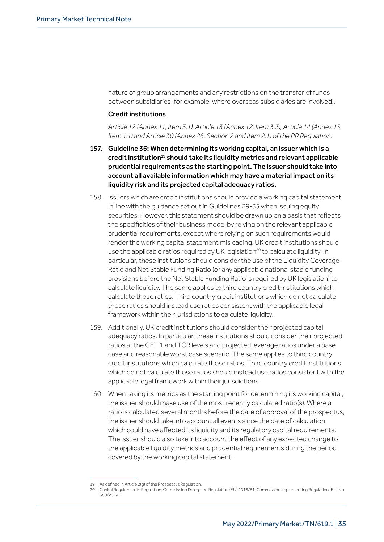nature of group arrangements and any restrictions on the transfer of funds between subsidiaries (for example, where overseas subsidiaries are involved).

#### Credit institutions

*Article 12 (Annex 11, Item 3.1), Article 13 (Annex 12, Item 3.3), Article 14 (Annex 13, Item 1.1) and Article 30 (Annex 26, Section 2 and Item 2.1) of the PR Regulation.*

- 157. Guideline 36: When determining its working capital, an issuer which is a credit institution<sup>19</sup> should take its liquidity metrics and relevant applicable prudential requirements as the starting point. The issuer should take into account all available information which may have a material impact on its liquidity risk and its projected capital adequacy ratios.
- 158. Issuers which are credit institutions should provide a working capital statement in line with the guidance set out in Guidelines 29-35 when issuing equity securities. However, this statement should be drawn up on a basis that reflects the specificities of their business model by relying on the relevant applicable prudential requirements, except where relying on such requirements would render the working capital statement misleading. UK credit institutions should use the applicable ratios required by UK legislation<sup>20</sup> to calculate liquidity. In particular, these institutions should consider the use of the Liquidity Coverage Ratio and Net Stable Funding Ratio (or any applicable national stable funding provisions before the Net Stable Funding Ratio is required by UK legislation) to calculate liquidity. The same applies to third country credit institutions which calculate those ratios. Third country credit institutions which do not calculate those ratios should instead use ratios consistent with the applicable legal framework within their jurisdictions to calculate liquidity.
- 159. Additionally, UK credit institutions should consider their projected capital adequacy ratios. In particular, these institutions should consider their projected ratios at the CET 1 and TCR levels and projected leverage ratios under a base case and reasonable worst case scenario. The same applies to third country credit institutions which calculate those ratios. Third country credit institutions which do not calculate those ratios should instead use ratios consistent with the applicable legal framework within their jurisdictions.
- 160. When taking its metrics as the starting point for determining its working capital, the issuer should make use of the most recently calculated ratio(s). Where a ratio is calculated several months before the date of approval of the prospectus, the issuer should take into account all events since the date of calculation which could have affected its liquidity and its regulatory capital requirements. The issuer should also take into account the effect of any expected change to the applicable liquidity metrics and prudential requirements during the period covered by the working capital statement.

<sup>19</sup> As defined in Article 2(g) of the Prospectus Regulation.

<sup>20</sup> Capital Requirements Regulation; Commission Delegated Regulation (EU) 2015/61; Commission Implementing Regulation (EU) No 680/2014.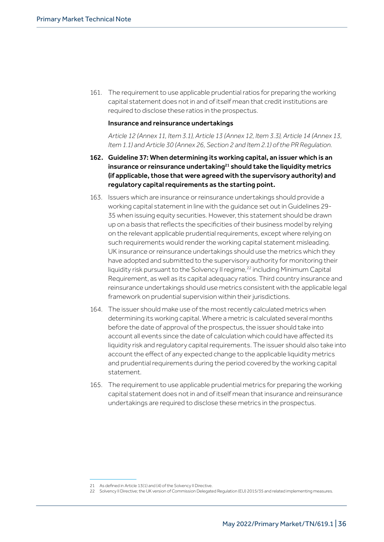161. The requirement to use applicable prudential ratios for preparing the working capital statement does not in and of itself mean that credit institutions are required to disclose these ratios in the prospectus.

## Insurance and reinsurance undertakings

*Article 12 (Annex 11, Item 3.1), Article 13 (Annex 12, Item 3.3), Article 14 (Annex 13, Item 1.1) and Article 30 (Annex 26, Section 2 and Item 2.1) of the PR Regulation.*

- 162. Guideline 37: When determining its working capital, an issuer which is an insurance or reinsurance undertaking<sup>21</sup> should take the liquidity metrics (if applicable, those that were agreed with the supervisory authority) and regulatory capital requirements as the starting point.
- 163. Issuers which are insurance or reinsurance undertakings should provide a working capital statement in line with the guidance set out in Guidelines 29- 35 when issuing equity securities. However, this statement should be drawn up on a basis that reflects the specificities of their business model by relying on the relevant applicable prudential requirements, except where relying on such requirements would render the working capital statement misleading. UK insurance or reinsurance undertakings should use the metrics which they have adopted and submitted to the supervisory authority for monitoring their liquidity risk pursuant to the Solvency II regime,<sup>22</sup> including Minimum Capital Requirement, as well as its capital adequacy ratios. Third country insurance and reinsurance undertakings should use metrics consistent with the applicable legal framework on prudential supervision within their jurisdictions.
- 164. The issuer should make use of the most recently calculated metrics when determining its working capital. Where a metric is calculated several months before the date of approval of the prospectus, the issuer should take into account all events since the date of calculation which could have affected its liquidity risk and regulatory capital requirements. The issuer should also take into account the effect of any expected change to the applicable liquidity metrics and prudential requirements during the period covered by the working capital statement.
- 165. The requirement to use applicable prudential metrics for preparing the working capital statement does not in and of itself mean that insurance and reinsurance undertakings are required to disclose these metrics in the prospectus.

<sup>21</sup> As defined in Article 13(1) and (4) of the Solvency II Directive.

<sup>22</sup> Solvency II Directive; the UK version of Commission Delegated [Regulation](http://eur-lex.europa.eu/legal-content/EN/TXT/?uri=OJ:L:2015:012:TOC) (EU) 2015/35 [a](http://eur-lex.europa.eu/legal-content/EN/TXT/?uri=OJ:L:2015:012:TOC)nd related implementing measures.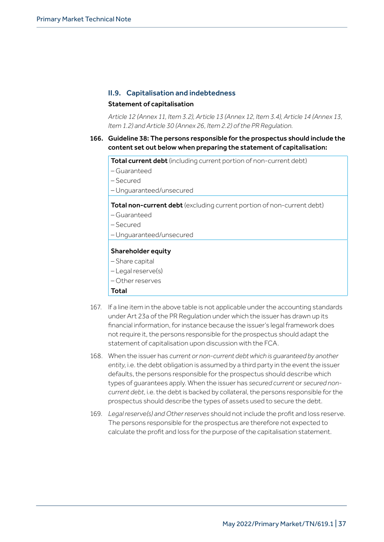## II.9. Capitalisation and indebtedness

#### Statement of capitalisation

*Article 12 (Annex 11, Item 3.2), Article 13 (Annex 12, Item 3.4), Article 14 (Annex 13, Item 1.2) and Article 30 (Annex 26, Item 2.2) of the PR Regulation.*

## 166. Guideline 38: The persons responsible for the prospectus should include the content set out below when preparing the statement of capitalisation:

Total current debt (including current portion of non-current debt)

- Guaranteed
- Secured
- Unguaranteed/unsecured

Total non-current debt (excluding current portion of non-current debt)

- Guaranteed
- Secured
- Unguaranteed/unsecured

#### Shareholder equity

- Share capital
- Legal reserve(s)
- Other reserves

#### Total

- 167. If a line item in the above table is not applicable under the accounting standards under Art 23a of the PR Regulation under which the issuer has drawn up its financial information, for instance because the issuer's legal framework does not require it, the persons responsible for the prospectus should adapt the statement of capitalisation upon discussion with the FCA.
- 168. When the issuer has *current or non-current debt which is guaranteed by another entity*, i.e. the debt obligation is assumed by a third party in the event the issuer defaults, the persons responsible for the prospectus should describe which types of guarantees apply. When the issuer has *secured current* or *secured noncurrent debt*, i.e. the debt is backed by collateral, the persons responsible for the prospectus should describe the types of assets used to secure the debt.
- 169. *Legal reserve(s) and Other reserves* should not include the profit and loss reserve. The persons responsible for the prospectus are therefore not expected to calculate the profit and loss for the purpose of the capitalisation statement.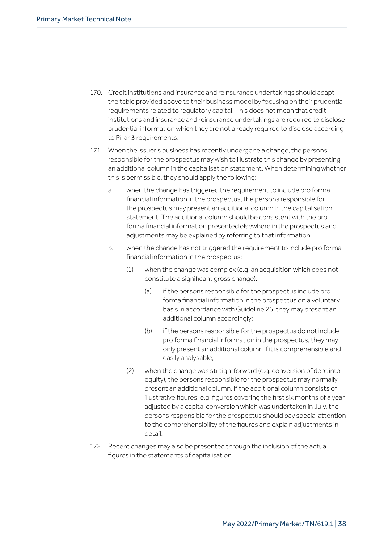- 170. Credit institutions and insurance and reinsurance undertakings should adapt the table provided above to their business model by focusing on their prudential requirements related to regulatory capital. This does not mean that credit institutions and insurance and reinsurance undertakings are required to disclose prudential information which they are not already required to disclose according to Pillar 3 requirements.
- 171. When the issuer's business has recently undergone a change, the persons responsible for the prospectus may wish to illustrate this change by presenting an additional column in the capitalisation statement. When determining whether this is permissible, they should apply the following:
	- a. when the change has triggered the requirement to include pro forma financial information in the prospectus, the persons responsible for the prospectus may present an additional column in the capitalisation statement. The additional column should be consistent with the pro forma financial information presented elsewhere in the prospectus and adjustments may be explained by referring to that information;
	- b. when the change has not triggered the requirement to include pro forma financial information in the prospectus:
		- $(1)$  when the change was complex (e.g. an acquisition which does not constitute a significant gross change):
			- (a) if the persons responsible for the prospectus include pro forma financial information in the prospectus on a voluntary basis in accordance with Guideline 26, they may present an additional column accordingly;
			- (b) if the persons responsible for the prospectus do not include pro forma financial information in the prospectus, they may only present an additional column if it is comprehensible and easily analysable;
		- (2) when the change was straightforward (e.g. conversion of debt into equity), the persons responsible for the prospectus may normally present an additional column. If the additional column consists of illustrative figures, e.g. figures covering the first six months of a year adjusted by a capital conversion which was undertaken in July, the persons responsible for the prospectus should pay special attention to the comprehensibility of the figures and explain adjustments in detail.
- 172. Recent changes may also be presented through the inclusion of the actual figures in the statements of capitalisation.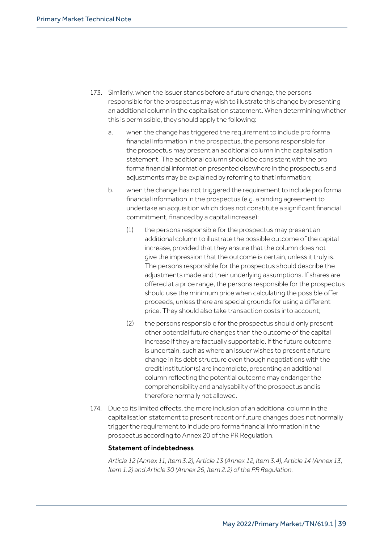- 173. Similarly, when the issuer stands before a future change, the persons responsible for the prospectus may wish to illustrate this change by presenting an additional column in the capitalisation statement. When determining whether this is permissible, they should apply the following:
	- a. when the change has triggered the requirement to include pro forma financial information in the prospectus, the persons responsible for the prospectus may present an additional column in the capitalisation statement. The additional column should be consistent with the pro forma financial information presented elsewhere in the prospectus and adjustments may be explained by referring to that information;
	- b. when the change has not triggered the requirement to include pro forma financial information in the prospectus (e.g. a binding agreement to undertake an acquisition which does not constitute a significant financial commitment, financed by a capital increase):
		- (1) the persons responsible for the prospectus may present an additional column to illustrate the possible outcome of the capital increase, provided that they ensure that the column does not give the impression that the outcome is certain, unless it truly is. The persons responsible for the prospectus should describe the adjustments made and their underlying assumptions. If shares are offered at a price range, the persons responsible for the prospectus should use the minimum price when calculating the possible offer proceeds, unless there are special grounds for using a different price. They should also take transaction costs into account;
		- (2) the persons responsible for the prospectus should only present other potential future changes than the outcome of the capital increase if they are factually supportable. If the future outcome is uncertain, such as where an issuer wishes to present a future change in its debt structure even though negotiations with the credit institution(s) are incomplete, presenting an additional column reflecting the potential outcome may endanger the comprehensibility and analysability of the prospectus and is therefore normally not allowed.
- 174. Due to its limited effects, the mere inclusion of an additional column in the capitalisation statement to present recent or future changes does not normally trigger the requirement to include pro forma financial information in the prospectus according to Annex 20 of the PR Regulation.

## Statement of indebtedness

*Article 12 (Annex 11, Item 3.2), Article 13 (Annex 12, Item 3.4), Article 14 (Annex 13, Item 1.2) and Article 30 (Annex 26, Item 2.2) of the PR Regulation.*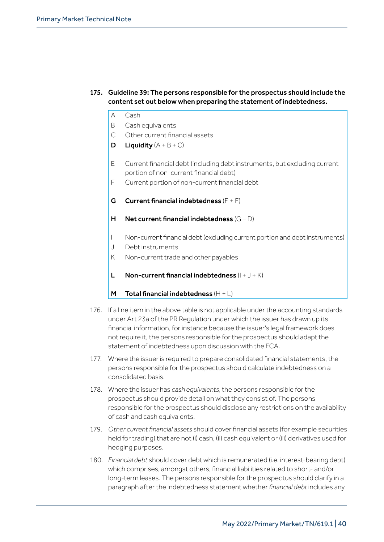- 175. Guideline 39: The persons responsible for the prospectus should include the content set out below when preparing the statement of indebtedness.
	- A Cash
	- B Cash equivalents
	- C Other current financial assets
	- **D** Liquidity  $(A + B + C)$
	- E Current financial debt (including debt instruments, but excluding current portion of non-current financial debt)
	- F Current portion of non-current financial debt
	- G Current financial indebtedness  $(E + F)$
	- H Net current financial indebtedness  $(G D)$
	- I Non-current financial debt (excluding current portion and debt instruments)
	- J Debt instruments
	- K Non-current trade and other payables
	- L Non-current financial indebtedness  $(I + J + K)$
	- M Total financial indebtedness  $(H + L)$
- 176. If a line item in the above table is not applicable under the accounting standards under Art 23a of the PR Regulation under which the issuer has drawn up its financial information, for instance because the issuer's legal framework does not require it, the persons responsible for the prospectus should adapt the statement of indebtedness upon discussion with the FCA.
- 177. Where the issuer is required to prepare consolidated financial statements, the persons responsible for the prospectus should calculate indebtedness on a consolidated basis.
- 178. Where the issuer has *cash equivalents*, the persons responsible for the prospectus should provide detail on what they consist of. The persons responsible for the prospectus should disclose any restrictions on the availability of cash and cash equivalents.
- 179. *Other current financial assets* should cover financial assets (for example securities held for trading) that are not (i) cash, (ii) cash equivalent or (iii) derivatives used for hedging purposes.
- 180. *Financial debt* should cover debt which is remunerated (i.e. interest-bearing debt) which comprises, amongst others, financial liabilities related to short- and/or long-term leases. The persons responsible for the prospectus should clarify in a paragraph after the indebtedness statement whether *financial debt* includes any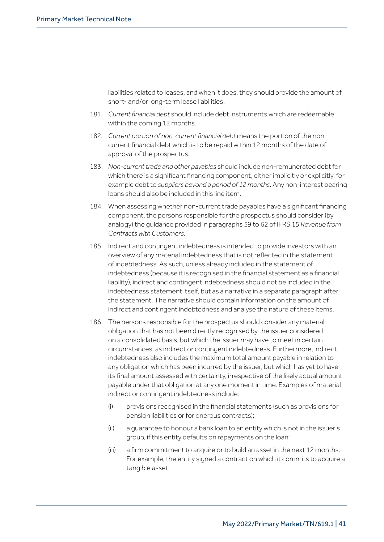liabilities related to leases, and when it does, they should provide the amount of short- and/or long-term lease liabilities.

- 181. *Current financial debt* should include debt instruments which are redeemable within the coming 12 months.
- 182. *Current portion of non-current financial debt* means the portion of the noncurrent financial debt which is to be repaid within 12 months of the date of approval of the prospectus.
- 183. *Non-current trade and other payables* should include non-remunerated debt for which there is a significant financing component, either implicitly or explicitly, for example debt to *suppliers beyond a period of 12 months*. Any non-interest bearing loans should also be included in this line item.
- 184. When assessing whether non-current trade payables have a significant financing component, the persons responsible for the prospectus should consider (by analogy) the guidance provided in paragraphs 59 to 62 of IFRS 15 *Revenue from Contracts with Customers*.
- 185. Indirect and contingent indebtedness is intended to provide investors with an overview of any material indebtedness that is not reflected in the statement of indebtedness. As such, unless already included in the statement of indebtedness (because it is recognised in the financial statement as a financial liability), indirect and contingent indebtedness should not be included in the indebtedness statement itself, but as a narrative in a separate paragraph after the statement. The narrative should contain information on the amount of indirect and contingent indebtedness and analyse the nature of these items.
- 186. The persons responsible for the prospectus should consider any material obligation that has not been directly recognised by the issuer considered on a consolidated basis, but which the issuer may have to meet in certain circumstances, as indirect or contingent indebtedness. Furthermore, indirect indebtedness also includes the maximum total amount payable in relation to any obligation which has been incurred by the issuer, but which has yet to have its final amount assessed with certainty, irrespective of the likely actual amount payable under that obligation at any one moment in time. Examples of material indirect or contingent indebtedness include:
	- (i) provisions recognised in the financial statements (such as provisions for pension liabilities or for onerous contracts);
	- (ii) a guarantee to honour a bank loan to an entity which is not in the issuer's group, if this entity defaults on repayments on the loan;
	- (iii) a firm commitment to acquire or to build an asset in the next 12 months. For example, the entity signed a contract on which it commits to acquire a tangible asset;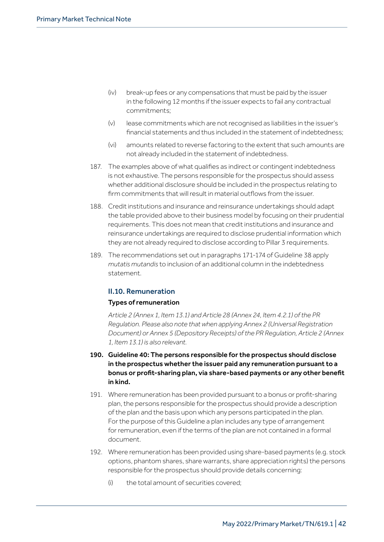- (iv) break-up fees or any compensations that must be paid by the issuer in the following 12 months if the issuer expects to fail any contractual commitments;
- (v) lease commitments which are not recognised as liabilities in the issuer's financial statements and thus included in the statement of indebtedness;
- (vi) amounts related to reverse factoring to the extent that such amounts are not already included in the statement of indebtedness.
- 187. The examples above of what qualifies as indirect or contingent indebtedness is not exhaustive. The persons responsible for the prospectus should assess whether additional disclosure should be included in the prospectus relating to firm commitments that will result in material outflows from the issuer.
- 188. Credit institutions and insurance and reinsurance undertakings should adapt the table provided above to their business model by focusing on their prudential requirements. This does not mean that credit institutions and insurance and reinsurance undertakings are required to disclose prudential information which they are not already required to disclose according to Pillar 3 requirements.
- 189. The recommendations set out in paragraphs 171-174 of Guideline 38 apply *mutatis mutandis* to inclusion of an additional column in the indebtedness statement.

## II.10. Remuneration

## Types of remuneration

*Article 2 (Annex 1, Item 13.1) and Article 28 (Annex 24, Item 4.2.1) of the PR Regulation. Please also note that when applying Annex 2 (Universal Registration Document) or Annex 5 (Depository Receipts) of the PR Regulation, Article 2 (Annex 1, Item 13.1) is also relevant.*

- 190. Guideline 40: The persons responsible for the prospectus should disclose in the prospectus whether the issuer paid any remuneration pursuant to a bonus or profit-sharing plan, via share-based payments or any other benefit in kind.
- 191. Where remuneration has been provided pursuant to a bonus or profit-sharing plan, the persons responsible for the prospectus should provide a description of the plan and the basis upon which any persons participated in the plan. For the purpose of this Guideline a plan includes any type of arrangement for remuneration, even if the terms of the plan are not contained in a formal document.
- 192. Where remuneration has been provided using share-based payments (e.g. stock options, phantom shares, share warrants, share appreciation rights) the persons responsible for the prospectus should provide details concerning:
	- $(i)$  the total amount of securities covered;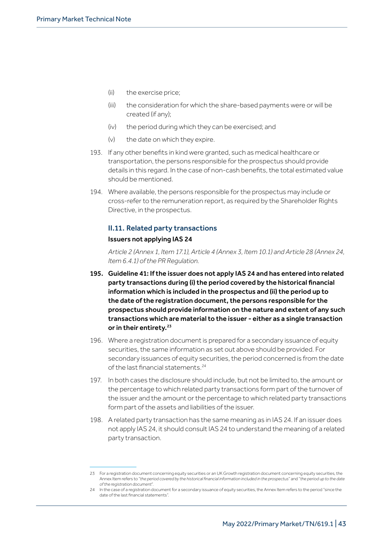- (ii) the exercise price;
- (iii) the consideration for which the share-based payments were or will be created (if any);
- (iv) the period during which they can be exercised; and
- (v) the date on which they expire.
- 193. If any other benefits in kind were granted, such as medical healthcare or transportation, the persons responsible for the prospectus should provide details in this regard. In the case of non-cash benefits, the total estimated value should be mentioned.
- 194. Where available, the persons responsible for the prospectus may include or cross-refer to the remuneration report, as required by the Shareholder Rights Directive, in the prospectus.

## II.11. Related party transactions

#### Issuers not applying IAS 24

*Article 2 (Annex 1, Item 17.1), Article 4 (Annex 3, Item 10.1) and Article 28 (Annex 24, Item 6.4.1) of the PR Regulation.*

- 195. Guideline 41: If the issuer does not apply IAS 24 and has entered into related party transactions during (i) the period covered by the historical financial information which is included in the prospectus and (ii) the period up to the date of the registration document, the persons responsible for the prospectus should provide information on the nature and extent of any such transactions which are material to the issuer - either as a single transaction or in their entirety.<sup>23</sup>
- 196. Where a registration document is prepared for a secondary issuance of equity securities, the same information as set out above should be provided. For secondary issuances of equity securities, the period concerned is from the date of the last financial statements.<sup>24</sup>
- 197. In both cases the disclosure should include, but not be limited to, the amount or the percentage to which related party transactions form part of the turnover of the issuer and the amount or the percentage to which related party transactions form part of the assets and liabilities of the issuer.
- 198. A related party transaction has the same meaning as in IAS 24. If an issuer does not apply IAS 24, it should consult IAS 24 to understand the meaning of a related party transaction.

<sup>23</sup> For a registration document concerning equity securities or an UK Growth registration document concerning equity securities, the Annex Item refers to "*the period covered by the historical financial information included in the prospectus*" and "*the period up to the date of the registration document*".

<sup>24</sup> In the case of a registration document for a secondary issuance of equity securities, the Annex Item refers to the period "since the date of the last financial statements".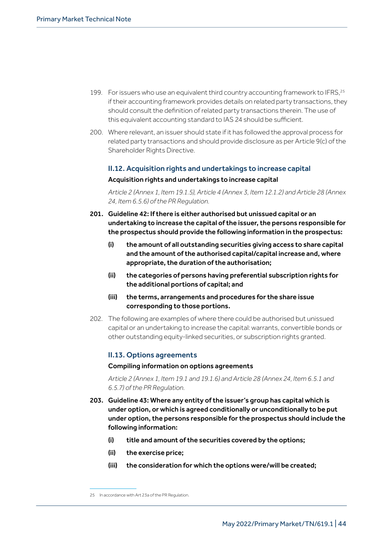- 199. For issuers who use an equivalent third country accounting framework to IFRS,<sup>25</sup> if their accounting framework provides details on related party transactions, they should consult the definition of related party transactions therein. The use of this equivalent accounting standard to IAS 24 should be sufficient.
- 200. Where relevant, an issuer should state if it has followed the approval process for related party transactions and should provide disclosure as per Article 9(c) of the Shareholder Rights Directive.

## II.12. Acquisition rights and undertakings to increase capital Acquisition rights and undertakings to increase capital

*Article 2 (Annex 1, Item 19.1.5), Article 4 (Annex 3, Item 12.1.2) and Article 28 (Annex 24, Item 6.5.6) of the PR Regulation.*

- 201. Guideline 42: If there is either authorised but unissued capital or an undertaking to increase the capital of the issuer, the persons responsible for the prospectus should provide the following information in the prospectus:
	- (i) the amount of all outstanding securities giving access to share capital and the amount of the authorised capital/capital increase and, where appropriate, the duration of the authorisation;
	- (ii) the categories of persons having preferential subscription rights for the additional portions of capital; and
	- (iii) the terms, arrangements and procedures for the share issue corresponding to those portions.
- 202. The following are examples of where there could be authorised but unissued capital or an undertaking to increase the capital: warrants, convertible bonds or other outstanding equity-linked securities, or subscription rights granted.

## II.13. Options agreements

## Compiling information on options agreements

*Article 2 (Annex 1, Item 19.1 and 19.1.6) and Article 28 (Annex 24, Item 6.5.1 and 6.5.7) of the PR Regulation.*

- 203. Guideline 43: Where any entity of the issuer's group has capital which is under option, or which is agreed conditionally or unconditionally to be put under option, the persons responsible for the prospectus should include the following information:
	- (i) title and amount of the securities covered by the options;
	- (ii) the exercise price;
	- (iii) the consideration for which the options were/will be created;

<sup>25</sup> In accordance with Art 23a of the PR Regulation.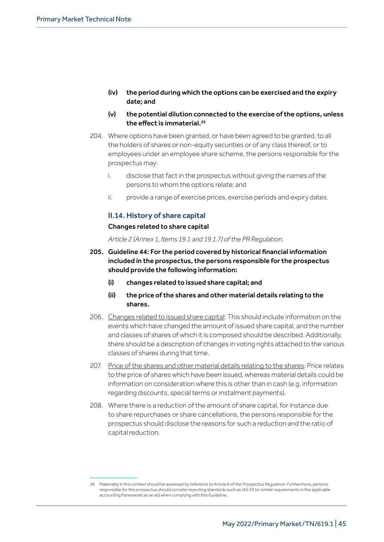- (iv) the period during which the options can be exercised and the expiry date; and
- (v) the potential dilution connected to the exercise of the options, unless the effect is immaterial.<sup>26</sup>
- 204. Where options have been granted, or have been agreed to be granted, to all the holders of shares or non-equity securities or of any class thereof, or to employees under an employee share scheme, the persons responsible for the prospectus may:
	- i. disclose that fact in the prospectus without giving the names of the persons to whom the options relate; and
	- ii. provide a range of exercise prices, exercise periods and expiry dates.

## II.14. History of share capital

#### Changes related to share capital

*Article 2 (Annex 1, Items 19.1 and 19.1.7) of the PR Regulation.*

- 205. Guideline 44: For the period covered by historical financial information included in the prospectus, the persons responsible for the prospectus should provide the following information:
	- (i) changes related to issued share capital; and
	- (ii) the price of the shares and other material details relating to the shares.
- 206. Changes related to issued share capital: This should include information on the events which have changed the amount of issued share capital, and the number and classes of shares of which it is composed should be described. Additionally, there should be a description of changes in voting rights attached to the various classes of shares during that time.
- 207. Price of the shares and other material details relating to the shares: Price relates to the price of shares which have been issued, whereas material details could be information on consideration where this is other than in cash (e.g. information regarding discounts, special terms or instalment payments).
- 208. Where there is a reduction of the amount of share capital, for instance due to share repurchases or share cancellations, the persons responsible for the prospectus should disclose the reasons for such a reduction and the ratio of capital reduction.

<sup>26</sup> Materiality in this context should be assessed by reference to Article 6 of the Prospectus Regulation. Furthermore, persons responsible for the prospectus should consider reporting standards such as IAS 33 (or similar requirements in the applicable accounting framework) as an aid when complying with this Guideline.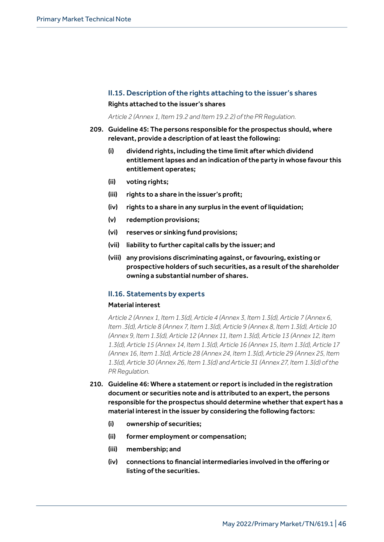## II.15. Description of the rights attaching to the issuer's shares Rights attached to the issuer's shares

*Article 2 (Annex 1, Item 19.2 and Item 19.2.2) of the PR Regulation.*

- 209. Guideline 45: The persons responsible for the prospectus should, where relevant, provide a description of at least the following:
	- (i) dividend rights, including the time limit after which dividend entitlement lapses and an indication of the party in whose favour this entitlement operates;
	- (ii) voting rights;
	- (iii) rights to a share in the issuer's profit;
	- (iv) rights to a share in any surplus in the event of liquidation;
	- (v) redemption provisions;
	- (vi) reserves or sinking fund provisions;
	- (vii) liability to further capital calls by the issuer; and
	- (viii) any provisions discriminating against, or favouring, existing or prospective holders of such securities, as a result of the shareholder owning a substantial number of shares.

## II.16. Statements by experts

#### Material interest

*Article 2 (Annex 1, Item 1.3(d), Article 4 (Annex 3, Item 1.3(d), Article 7 (Annex 6, Item .3(d), Article 8 (Annex 7, Item 1.3(d), Article 9 (Annex 8, Item 1.3(d), Article 10 (Annex 9, Item 1.3(d), Article 12 (Annex 11, Item 1.3(d), Article 13 (Annex 12, Item 1.3(d), Article 15 (Annex 14, Item 1.3(d), Article 16 (Annex 15, Item 1.3(d), Article 17 (Annex 16, Item 1.3(d), Article 28 (Annex 24, Item 1.3(d), Article 29 (Annex 25, Item 1.3(d), Article 30 (Annex 26, Item 1.3(d) and Article 31 (Annex 27, Item 1.3(d) of the PR Regulation.*

- 210. Guideline 46: Where a statement or report is included in the registration document or securities note and is attributed to an expert, the persons responsible for the prospectus should determine whether that expert has a material interest in the issuer by considering the following factors:
	- (i) ownership of securities;
	- (ii) former employment or compensation;
	- (iii) membership; and
	- (iv) connections to financial intermediaries involved in the offering or listing of the securities.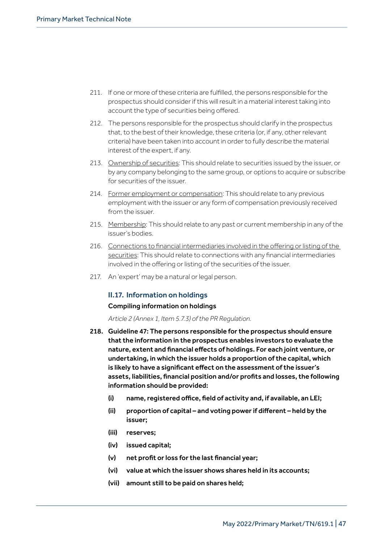- 211. If one or more of these criteria are fulfilled, the persons responsible for the prospectus should consider if this will result in a material interest taking into account the type of securities being offered.
- 212. The persons responsible for the prospectus should clarify in the prospectus that, to the best of their knowledge, these criteria (or, if any, other relevant criteria) have been taken into account in order to fully describe the material interest of the expert, if any.
- 213. Ownership of securities: This should relate to securities issued by the issuer, or by any company belonging to the same group, or options to acquire or subscribe for securities of the issuer.
- 214. Former employment or compensation: This should relate to any previous employment with the issuer or any form of compensation previously received from the issuer.
- 215. Membership: This should relate to any past or current membership in any of the issuer's bodies.
- 216. Connections to financial intermediaries involved in the offering or listing of the securities: This should relate to connections with any financial intermediaries involved in the offering or listing of the securities of the issuer.
- 217. An 'expert' may be a natural or legal person.

## II.17. Information on holdings

## Compiling information on holdings

*Article 2 (Annex 1, Item 5.7.3) of the PR Regulation.*

- 218. Guideline 47: The persons responsible for the prospectus should ensure that the information in the prospectus enables investors to evaluate the nature, extent and financial effects of holdings. For each joint venture, or undertaking, in which the issuer holds a proportion of the capital, which is likely to have a significant effect on the assessment of the issuer's assets, liabilities, financial position and/or profits and losses, the following information should be provided:
	- (i) name, registered office, field of activity and, if available, an LEI;
	- (ii) proportion of capital and voting power if different held by the issuer;
	- (iii) reserves;
	- (iv) issued capital;
	- (v) net profit or loss for the last financial year;
	- (vi) value at which the issuer shows shares held in its accounts;
	- (vii) amount still to be paid on shares held;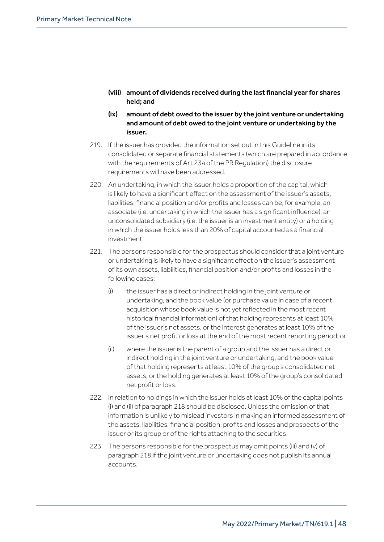- (viii) amount of dividends received during the last financial year for shares held; and
- (ix) amount of debt owed to the issuer by the joint venture or undertaking and amount of debt owed to the joint venture or undertaking by the issuer.
- 219. If the issuer has provided the information set out in this Guideline in its consolidated or separate financial statements (which are prepared in accordance with the requirements of Art 23a of the PR Regulation) the disclosure requirements will have been addressed.
- 220. An undertaking, in which the issuer holds a proportion of the capital, which is likely to have a significant effect on the assessment of the issuer's assets, liabilities, financial position and/or profits and losses can be, for example, an associate (i.e. undertaking in which the issuer has a significant influence), an unconsolidated subsidiary (i.e. the issuer is an investment entity) or a holding in which the issuer holds less than 20% of capital accounted as a financial investment.
- 221. The persons responsible for the prospectus should consider that a joint venture or undertaking is likely to have a significant effect on the issuer's assessment of its own assets, liabilities, financial position and/or profits and losses in the following cases:
	- (i) the issuer has a direct or indirect holding in the joint venture or undertaking, and the book value (or purchase value in case of a recent acquisition whose book value is not yet reflected in the most recent historical financial information) of that holding represents at least 10% of the issuer's net assets, or the interest generates at least 10% of the issuer's net profit or loss at the end of the most recent reporting period; or
	- (ii) where the issuer is the parent of a group and the issuer has a direct or indirect holding in the joint venture or undertaking, and the book value of that holding represents at least 10% of the group's consolidated net assets, or the holding generates at least 10% of the group's consolidated net profit or loss.
- 222. In relation to holdings in which the issuer holds at least 10% of the capital points (i) and (ii) of paragraph 218 should be disclosed. Unless the omission of that information is unlikely to mislead investors in making an informed assessment of the assets, liabilities, financial position, profits and losses and prospects of the issuer or its group or of the rights attaching to the securities.
- 223. The persons responsible for the prospectus may omit points (iii) and (v) of paragraph 218 if the joint venture or undertaking does not publish its annual accounts.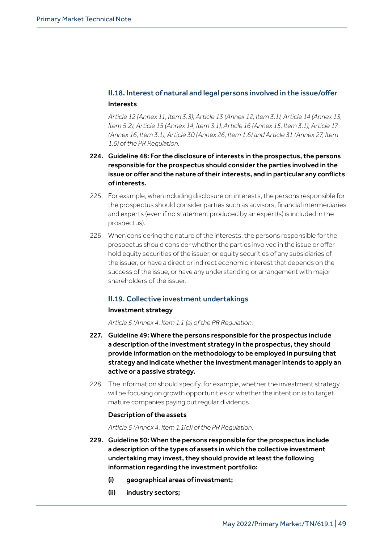## II.18. Interest of natural and legal persons involved in the issue/offer Interests

*Article 12 (Annex 11, Item 3.3), Article 13 (Annex 12, Item 3.1), Article 14 (Annex 13, Item 5.2), Article 15 (Annex 14, Item 3.1), Article 16 (Annex 15, Item 3.1), Article 17 (Annex 16, Item 3.1), Article 30 (Annex 26, Item 1.6) and Article 31 (Annex 27, Item 1.6) of the PR Regulation.*

- 224. Guideline 48: For the disclosure of interests in the prospectus, the persons responsible for the prospectus should consider the parties involved in the issue or offer and the nature of their interests, and in particular any conflicts of interests.
- 225. For example, when including disclosure on interests, the persons responsible for the prospectus should consider parties such as advisors, financial intermediaries and experts (even if no statement produced by an expert(s) is included in the prospectus).
- 226. When considering the nature of the interests, the persons responsible for the prospectus should consider whether the parties involved in the issue or offer hold equity securities of the issuer, or equity securities of any subsidiaries of the issuer, or have a direct or indirect economic interest that depends on the success of the issue, or have any understanding or arrangement with major shareholders of the issuer.

## II.19. Collective investment undertakings

## Investment strategy

*Article 5 (Annex 4, Item 1.1 (a) of the PR Regulation.*

- 227. Guideline 49: Where the persons responsible for the prospectus include a description of the investment strategy in the prospectus, they should provide information on the methodology to be employed in pursuing that strategy and indicate whether the investment manager intends to apply an active or a passive strategy.
- 228. The information should specify, for example, whether the investment strategy will be focusing on growth opportunities or whether the intention is to target mature companies paying out regular dividends.

## Description of the assets

*Article 5 (Annex 4, Item 1.1(c)) of the PR Regulation.*

- 229. Guideline 50: When the persons responsible for the prospectus include a description of the types of assets in which the collective investment undertaking may invest, they should provide at least the following information regarding the investment portfolio:
	- (i) geographical areas of investment;
	- (ii) industry sectors;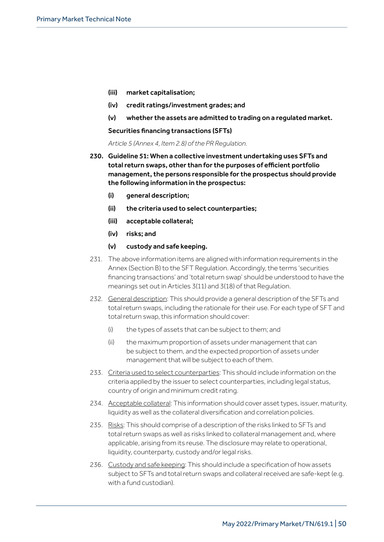- (iii) market capitalisation;
- (iv) credit ratings/investment grades; and
- (v) whether the assets are admitted to trading on a regulated market.

#### Securities financing transactions (SFTs)

*Article 5 (Annex 4, Item 2.8) of the PR Regulation.*

- 230. Guideline 51: When a collective investment undertaking uses SFTs and total return swaps, other than for the purposes of efficient portfolio management, the persons responsible for the prospectus should provide the following information in the prospectus:
	- (i) general description;
	- (ii) the criteria used to select counterparties;
	- (iii) acceptable collateral;
	- (iv) risks; and
	- (v) custody and safe keeping.
- 231. The above information items are aligned with information requirements in the Annex (Section B) to the SFT Regulation. Accordingly, the terms 'securities financing transactions' and 'total return swap' should be understood to have the meanings set out in Articles 3(11) and 3(18) of that Regulation.
- 232. General description: This should provide a general description of the SFTs and total return swaps, including the rationale for their use. For each type of SFT and total return swap, this information should cover:
	- (i) the types of assets that can be subject to them; and
	- (ii) the maximum proportion of assets under management that can be subject to them, and the expected proportion of assets under management that will be subject to each of them.
- 233. Criteria used to select counterparties: This should include information on the criteria applied by the issuer to select counterparties, including legal status, country of origin and minimum credit rating.
- 234. Acceptable collateral: This information should cover asset types, issuer, maturity, liquidity as well as the collateral diversification and correlation policies.
- 235. Risks: This should comprise of a description of the risks linked to SFTs and total return swaps as well as risks linked to collateral management and, where applicable, arising from its reuse. The disclosure may relate to operational, liquidity, counterparty, custody and/or legal risks.
- 236. Custody and safe keeping: This should include a specification of how assets subject to SFTs and total return swaps and collateral received are safe-kept (e.g. with a fund custodian).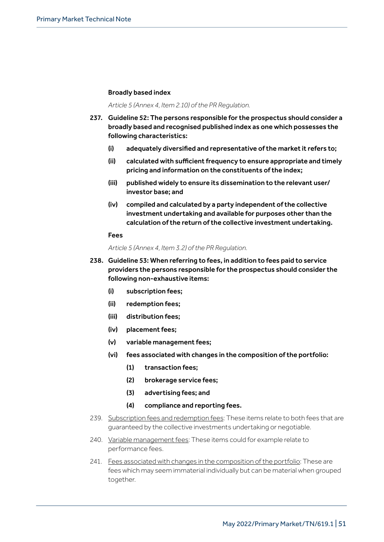## Broadly based index

#### *Article 5 (Annex 4, Item 2.10) of the PR Regulation.*

- 237. Guideline 52: The persons responsible for the prospectus should consider a broadly based and recognised published index as one which possesses the following characteristics:
	- (i) adequately diversified and representative of the market it refers to;
	- (ii) calculated with sufficient frequency to ensure appropriate and timely pricing and information on the constituents of the index;
	- (iii) published widely to ensure its dissemination to the relevant user/ investor base; and
	- (iv) compiled and calculated by a party independent of the collective investment undertaking and available for purposes other than the calculation of the return of the collective investment undertaking.

#### Fees

*Article 5 (Annex 4, Item 3.2) of the PR Regulation.*

- 238. Guideline 53: When referring to fees, in addition to fees paid to service providers the persons responsible for the prospectus should consider the following non-exhaustive items:
	- (i) subscription fees;
	- (ii) redemption fees;
	- (iii) distribution fees;
	- (iv) placement fees;
	- (v) variable management fees;
	- (vi) fees associated with changes in the composition of the portfolio:
		- (1) transaction fees;
		- (2) brokerage service fees;
		- (3) advertising fees; and
		- (4) compliance and reporting fees.
- 239. Subscription fees and redemption fees: These items relate to both fees that are guaranteed by the collective investments undertaking or negotiable.
- 240. Variable management fees: These items could for example relate to performance fees.
- 241. Fees associated with changes in the composition of the portfolio: These are fees which may seem immaterial individually but can be material when grouped together.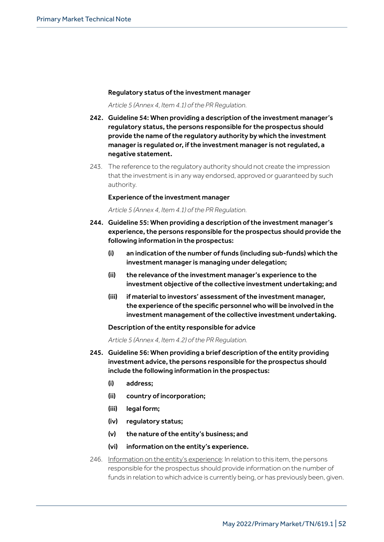#### Regulatory status of the investment manager

*Article 5 (Annex 4, Item 4.1) of the PR Regulation.*

- 242. Guideline 54: When providing a description of the investment manager's regulatory status, the persons responsible for the prospectus should provide the name of the regulatory authority by which the investment manager is regulated or, if the investment manager is not regulated, a negative statement.
- 243. The reference to the regulatory authority should not create the impression that the investment is in any way endorsed, approved or guaranteed by such authority.

#### Experience of the investment manager

*Article 5 (Annex 4, Item 4.1) of the PR Regulation.*

- 244. Guideline 55: When providing a description of the investment manager's experience, the persons responsible for the prospectus should provide the following information in the prospectus:
	- (i) an indication of the number of funds (including sub-funds) which the investment manager is managing under delegation;
	- (ii) the relevance of the investment manager's experience to the investment objective of the collective investment undertaking; and
	- (iii) if material to investors' assessment of the investment manager, the experience of the specific personnel who will be involved in the investment management of the collective investment undertaking.

## Description of the entity responsible for advice

*Article 5 (Annex 4, Item 4.2) of the PR Regulation.*

- 245. Guideline 56: When providing a brief description of the entity providing investment advice, the persons responsible for the prospectus should include the following information in the prospectus:
	- (i) address;
	- (ii) country of incorporation;
	- (iii) legal form;
	- (iv) regulatory status;
	- (v) the nature of the entity's business; and
	- (vi) information on the entity's experience.
- 246. Information on the entity's experience: In relation to this item, the persons responsible for the prospectus should provide information on the number of funds in relation to which advice is currently being, or has previously been, given.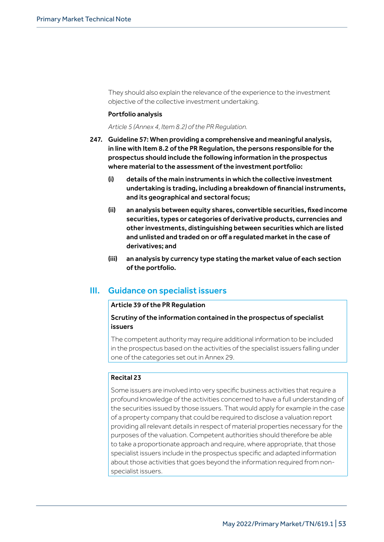They should also explain the relevance of the experience to the investment objective of the collective investment undertaking.

#### Portfolio analysis

*Article 5 (Annex 4, Item 8.2) of the PR Regulation.*

- 247. Guideline 57: When providing a comprehensive and meaningful analysis, in line with Item 8.2 of the PR Regulation, the persons responsible for the prospectus should include the following information in the prospectus where material to the assessment of the investment portfolio:
	- (i) details of the main instruments in which the collective investment undertaking is trading, including a breakdown of financial instruments, and its geographical and sectoral focus;
	- (ii) an analysis between equity shares, convertible securities, fixed income securities, types or categories of derivative products, currencies and other investments, distinguishing between securities which are listed and unlisted and traded on or off a regulated market in the case of derivatives; and
	- (iii) an analysis by currency type stating the market value of each section of the portfolio.

## III. Guidance on specialist issuers

#### Article 39 of the PR Regulation

## Scrutiny of the information contained in the prospectus of specialist issuers

The competent authority may require additional information to be included in the prospectus based on the activities of the specialist issuers falling under one of the categories set out in Annex 29.

## Recital 23

Some issuers are involved into very specific business activities that require a profound knowledge of the activities concerned to have a full understanding of the securities issued by those issuers. That would apply for example in the case of a property company that could be required to disclose a valuation report providing all relevant details in respect of material properties necessary for the purposes of the valuation. Competent authorities should therefore be able to take a proportionate approach and require, where appropriate, that those specialist issuers include in the prospectus specific and adapted information about those activities that goes beyond the information required from nonspecialist issuers.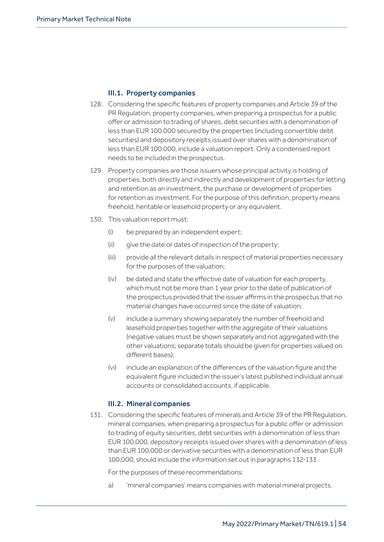## III.1. Property companies

- 128. Considering the specific features of property companies and Article 39 of the PR Regulation, property companies, when preparing a prospectus for a public offer or admission to trading of shares, debt securities with a denomination of less than EUR 100.000 secured by the properties (including convertible debt securities) and depository receipts issued over shares with a denomination of less than EUR 100.000, include a valuation report. Only a condensed report needs to be included in the prospectus.
- 129. Property companies are those issuers whose principal activity is holding of properties, both directly and indirectly and development of properties for letting and retention as an investment, the purchase or development of properties for retention as investment. For the purpose of this definition, property means freehold, heritable or leasehold property or any equivalent.
- 130. This valuation report must:
	- (i) be prepared by an independent expert;
	- (ii) give the date or dates of inspection of the property;
	- (iii) provide all the relevant details in respect of material properties necessary for the purposes of the valuation;
	- (iv) be dated and state the effective date of valuation for each property, which must not be more than 1 year prior to the date of publication of the prospectus provided that the issuer affirms in the prospectus that no material changes have occurred since the date of valuation;
	- (v) include a summary showing separately the number of freehold and leasehold properties together with the aggregate of their valuations (negative values must be shown separately and not aggregated with the other valuations; separate totals should be given for properties valued on different bases);
	- (vi) include an explanation of the differences of the valuation figure and the equivalent figure included in the issuer's latest published individual annual accounts or consolidated accounts, if applicable.

## III.2. Mineral companies

131. Considering the specific features of minerals and Article 39 of the PR Regulation, mineral companies, when preparing a prospectus for a public offer or admission to trading of equity securities, debt securities with a denomination of less than EUR 100,000, depository receipts issued over shares with a denomination of less than EUR 100,000 or derivative securities with a denomination of less than EUR 100,000, should include the information set out in paragraphs 132-133.

For the purposes of these recommendations:

a) imineral companies' means companies with material mineral projects.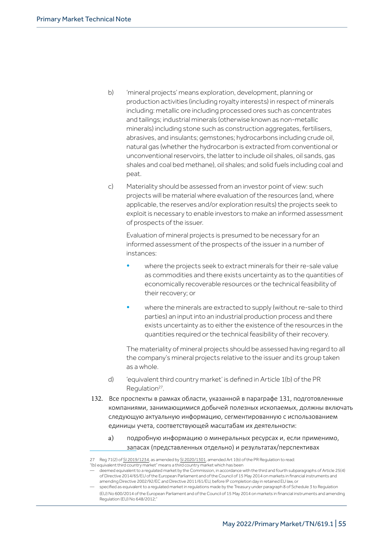- b) imineral projects' means exploration, development, planning or production activities (including royalty interests) in respect of minerals including: metallic ore including processed ores such as concentrates and tailings; industrial minerals (otherwise known as non-metallic minerals) including stone such as construction aggregates, fertilisers, abrasives, and insulants; gemstones; hydrocarbons including crude oil, natural gas (whether the hydrocarbon is extracted from conventional or unconventional reservoirs, the latter to include oil shales, oil sands, gas shales and coal bed methane), oil shales; and solid fuels including coal and peat.
- c) Materiality should be assessed from an investor point of view: such projects will be material where evaluation of the resources (and, where applicable, the reserves and/or exploration results) the projects seek to exploit is necessary to enable investors to make an informed assessment of prospects of the issuer.

Evaluation of mineral projects is presumed to be necessary for an informed assessment of the prospects of the issuer in a number of instances:

- where the projects seek to extract minerals for their re-sale value as commodities and there exists uncertainty as to the quantities of economically recoverable resources or the technical feasibility of their recovery; or
- where the minerals are extracted to supply (without re-sale to third parties) an input into an industrial production process and there exists uncertainty as to either the existence of the resources in the quantities required or the technical feasibility of their recovery.

The materiality of mineral projects should be assessed having regard to all the company's mineral projects relative to the issuer and its group taken as a whole.

- d) Gequivalent third country market' is defined in Article 1(b) of the PR Regulation<sup>27</sup>.
- 132. Все проспекты в рамках области, указанной в параграфе 131, подготовленные компаниями, занимающимися добычей полезных ископаемых, должны включать следующую актуальную информацию, сегментированную с использованием единицы учета, соответствующей масштабам их деятельности:
	- a) подробную информацию о минеральных ресурсах и, если применимо, запасах (представленных отдельно) и результатах/перспективах

<sup>27</sup> Reg 71(2) of SI 2019/1234, as amended by SI 2020/1301, amended Art 1(b) of the PR Regulation to read: j

<sup>&</sup>quot;(b) equivalent third country market" means a third country market which has been

deemed equivalent to a requlated market by the Commission, in accordance with the third and fourth subparagraphs of Article 25(4) of Directive 2014/65/EU of the European Parliament and of the Council of 15 May 2014 on markets in financial instruments and amending Directive 2002/92/EC and Directive 2011/61/EU, before IP completion day in retained EU law, or

specified as equivalent to a regulated market in regulations made by the Treasury under paragraph 8 of Schedule 3 to Regulation (EU) No 600/2014 of the European Parliament and of the Council of 15 May 2014 on markets in financial instruments and amending Regulation (EU) No 648/2012;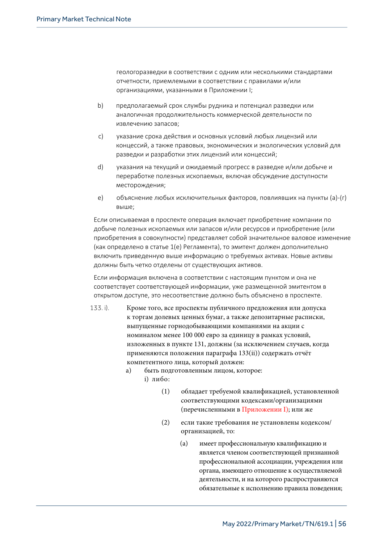геологоразведки в соответствии с одним или несколькими стандартами отчетности, приемлемыми в соответствии с правилами и/или организациями, указанными в Приложении I;

- b) предполагаемый срок службы рудника и потенциал разведки или аналогичная продолжительность коммерческой деятельности по извлечению запасов;
- c) указание срока действия и основных условий любых лицензий или концессий, а также правовых, экономических и экологических условий для разведки и разработки этих лицензий или концессий;
- d) указания на текущий и ожидаемый прогресс в разведке и/или добыче и переработке полезных ископаемых, включая обсуждение доступности месторождения;
- e) объяснение любых исключительных факторов, повлиявших на пункты (а)-(г) выше;

Если описываемая в проспекте операция включает приобретение компании по добыче полезных ископаемых или запасов и/или ресурсов и приобретение (или приобретения в совокупности) представляет собой значительное валовое изменение (как определено в статье 1(e) Регламента), то эмитент должен дополнительно включить приведенную выше информацию о требуемых активах. Новые активы должны быть четко отделены от существующих активов.

Если информация включена в соответствии с настоящим пунктом и она не соответствует соответствующей информации, уже размещенной эмитентом в открытом доступе, это несоответствие должно быть объяснено в проспекте.

- 133. i). Кроме того, все проспекты публичного предложения или допуска к торгам долевых ценных бумаг, а также депозитарные расписки, выпущенные горнодобывающими компаниями на акции с номиналом менее 100 000 евро за единицу в рамках условий, изложенных в пункте 131, должны (за исключением случаев, когда применяются положения параграфа 133(ii)) содержать отчёт компетентного лица, который должен:
	- a) быть подготовленным лицом, которое:
		- i) либо:
			- (1) обладает требуемой квалификацией, установленной соответствующими кодексами/организациями (перечисленными в Приложении I); или же
			- (2) если такие требования не установлены кодексом/ организацией, то:
				- (a) имеет профессиональную квалификацию и является членом соответствующей признанной профессиональной ассоциации, учреждения или органа, имеющего отношение к осуществляемой деятельности, и на которого распространяются обязательные к исполнению правила поведения;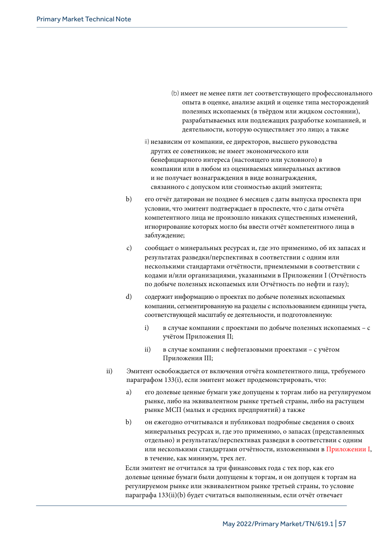- (b) имеет не менее пяти лет соответствующего профессионального опыта в оценке, анализе акций и оценке типа месторождений полезных ископаемых (в твёрдом или жидком состоянии), разрабатываемых или подлежащих разработке компанией, и деятельности, которую осуществляет это лицо; а также
- ii) независим от компании, ее директоров, высшего руководства других ее советников; не имеет экономического или бенефициарного интереса (настоящего или условного) в компании или в любом из оцениваемых минеральных активов и не получает вознаграждения в виде вознаграждения, связанного с допуском или стоимостью акций эмитента;
- b) его отчёт датирован не позднее 6 месяцев с даты выпуска проспекта при условии, что эмитент подтверждает в проспекте, что с даты отчёта компетентного лица не произошло никаких существенных изменений, игнорирование которых могло бы ввести отчёт компетентного лица в заблуждение;
- c) сообщает о минеральных ресурсах и, где это применимо, об их запасах и результатах разведки/перспективах в соответствии с одним или несколькими стандартами отчётности, приемлемыми в соответствии с кодами и/или организациями, указанными в Приложении I (Отчётность по добыче полезных ископаемых или Отчётность по нефти и газу);
- d) содержит информацию о проектах по добыче полезных ископаемых компании, сегментированную на разделы с использованием единицы учета, соответствующей масштабу ее деятельности, и подготовленную:
	- i) в случае компании с проектами по добыче полезных ископаемых с учётом Приложения II;
	- ii) в случае компании с нефтегазовыми проектами с учётом Приложения III;
- ii) Эмитент освобождается от включения отчёта компетентного лица, требуемого параграфом 133(i), если эмитент может продемонстрировать, что:
	- a) его долевые ценные бумаги уже допущены к торгам либо на регулируемом рынке, либо на эквивалентном рынке третьей страны, либо на растущем рынке МСП (малых и средних предприятий) а также
	- b) он ежегодно отчитывался и публиковал подробные сведения о своих минеральных ресурсах и, где это применимо, о запасах (представленных отдельно) и результатах/перспективах разведки в соответствии с одним или несколькими стандартами отчётности, изложенными в Приложении I, в течение, как минимум, трех лет.

Если эмитент не отчитался за три финансовых года с тех пор, как его долевые ценные бумаги были допущены к торгам, и он допущен к торгам на регулируемом рынке или эквивалентном рынке третьей страны, то условие параграфа 133(ii)(b) будет считаться выполненным, если отчёт отвечает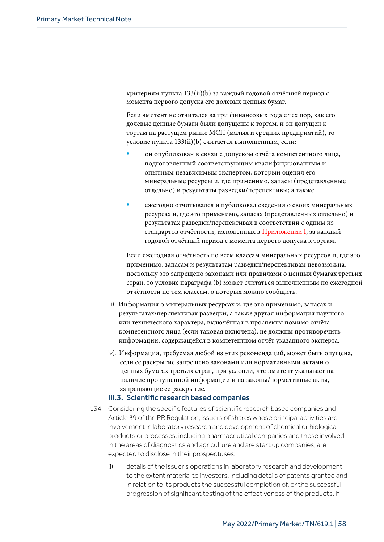критериям пункта 133(ii)(b) за каждый годовой отчётный период с момента первого допуска его долевых ценных бумаг.

Если эмитент не отчитался за три финансовых года с тех пор, как его долевые ценные бумаги были допущены к торгам, и он допущен к торгам на растущем рынке МСП (малых и средних предприятий), то условие пункта 133(ii)(b) считается выполненным, если:

- он опубликован в связи с допуском отчёта компетентного лица, подготовленный соответствующим квалифицированным и опытным независимым экспертом, который оценил его минеральные ресурсы и, где применимо, запасы (представленные отдельно) и результаты разведки/перспективы; а также
- ежегодно отчитывался и публиковал сведения о своих минеральных ресурсах и, где это применимо, запасах (представленных отдельно) и результатах разведки/перспективах в соответствии с одним из стандартов отчётности, изложенных в Приложении I, за каждый годовой отчётный период с момента первого допуска к торгам.

Если ежегодная отчётность по всем классам минеральных ресурсов и, где это применимо, запасам и результатам разведки/перспективам невозможна, поскольку это запрещено законами или правилами о ценных бумагах третьих стран, то условие параграфа (b) может считаться выполненным по ежегодной отчётности по тем классам, о которых можно сообщить.

- iii). Информация о минеральных ресурсах и, где это применимо, запасах и результатах/перспективах разведки, а также другая информация научного или технического характера, включённая в проспекты помимо отчёта компетентного лица (если таковая включена), не должны противоречить информации, содержащейся в компетентном отчёт указанного эксперта.
- iv). Информация, требуемая любой из этих рекомендаций, может быть опущена, если ее раскрытие запрещено законами или нормативными актами о ценных бумагах третьих стран, при условии, что эмитент указывает на наличие пропущенной информации и на законы/нормативные акты, запрещающие ее раскрытие.

#### III.3. Scientific research based companies

- 134. Considering the specific features of scientific research based companies and Article 39 of the PR Regulation, issuers of shares whose principal activities are involvement in laboratory research and development of chemical or biological products or processes, including pharmaceutical companies and those involved in the areas of diagnostics and agriculture and are start up companies, are expected to disclose in their prospectuses:
	- (i) details of the issuer's operations in laboratory research and development, to the extent material to investors, including details of patents granted and in relation to its products the successful completion of, or the successful progression of significant testing of the effectiveness of the products. If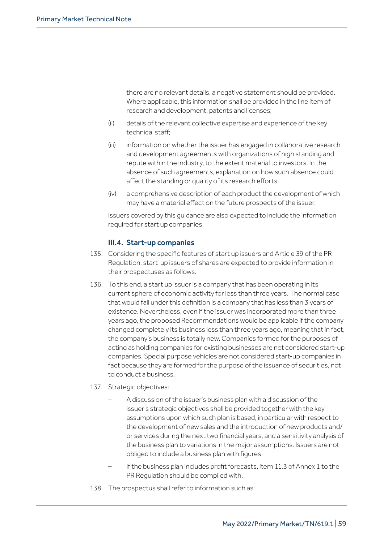there are no relevant details, a negative statement should be provided. Where applicable, this information shall be provided in the line item of research and development, patents and licenses;

- (ii) details of the relevant collective expertise and experience of the key technical staff;
- (iii) information on whether the issuer has engaged in collaborative research and development agreements with organizations of high standing and repute within the industry, to the extent material to investors. In the absence of such agreements, explanation on how such absence could affect the standing or quality of its research efforts.
- (iv) a comprehensive description of each product the development of which may have a material effect on the future prospects of the issuer.

Issuers covered by this guidance are also expected to include the information required for start up companies.

## III.4. Start-up companies

- 135. Considering the specific features of start up issuers and Article 39 of the PR Regulation, start-up issuers of shares are expected to provide information in their prospectuses as follows.
- 136. To this end, a start up issuer is a company that has been operating in its current sphere of economic activity for less than three years. The normal case that would fall under this definition is a company that has less than 3 years of existence. Nevertheless, even if the issuer was incorporated more than three years ago, the proposed Recommendations would be applicable if the company changed completely its business less than three years ago, meaning that in fact, the company's business is totally new. Companies formed for the purposes of acting as holding companies for existing businesses are not considered start-up companies. Special purpose vehicles are not considered start-up companies in fact because they are formed for the purpose of the issuance of securities, not to conduct a business.

## 137. Strategic objectives:

- A discussion of the issuer's business plan with a discussion of the issuer's strategic objectives shall be provided together with the key assumptions upon which such plan is based, in particular with respect to the development of new sales and the introduction of new products and/ or services during the next two financial years, and a sensitivity analysis of the business plan to variations in the major assumptions. Issuers are not obliged to include a business plan with figures.
- If the business plan includes profit forecasts, item 11.3 of Annex 1 to the PR Regulation should be complied with.
- 138. The prospectus shall refer to information such as: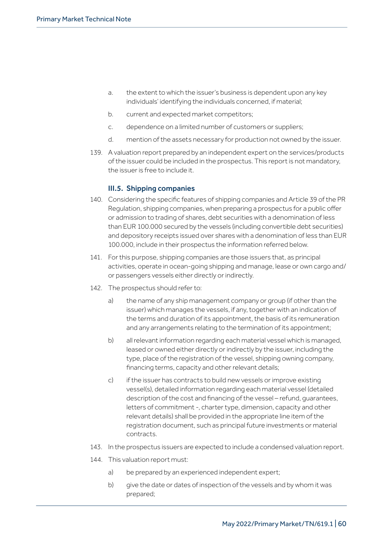- a. the extent to which the issuer's business is dependent upon any key individuals' identifying the individuals concerned, if material;
- b. current and expected market competitors;
- c. dependence on a limited number of customers or suppliers;
- d. mention of the assets necessary for production not owned by the issuer.
- 139. A valuation report prepared by an independent expert on the services/products of the issuer could be included in the prospectus. This report is not mandatory, the issuer is free to include it.

## III.5. Shipping companies

- 140. Considering the specific features of shipping companies and Article 39 of the PR Regulation, shipping companies, when preparing a prospectus for a public offer or admission to trading of shares, debt securities with a denomination of less than EUR 100.000 secured by the vessels (including convertible debt securities) and depository receipts issued over shares with a denomination of less than EUR 100.000, include in their prospectus the information referred below.
- 141. For this purpose, shipping companies are those issuers that, as principal activities, operate in ocean-going shipping and manage, lease or own cargo and/ or passengers vessels either directly or indirectly.
- 142. The prospectus should refer to:
	- a) the name of any ship management company or group (if other than the issuer) which manages the vessels, if any, together with an indication of the terms and duration of its appointment, the basis of its remuneration and any arrangements relating to the termination of its appointment;
	- b) all relevant information regarding each material vessel which is managed, leased or owned either directly or indirectly by the issuer, including the type, place of the registration of the vessel, shipping owning company, financing terms, capacity and other relevant details;
	- c) if the issuer has contracts to build new vessels or improve existing vessel(s), detailed information regarding each material vessel (detailed description of the cost and financing of the vessel – refund, guarantees, letters of commitment -, charter type, dimension, capacity and other relevant details) shall be provided in the appropriate line item of the registration document, such as principal future investments or material contracts.
- 143. In the prospectus issuers are expected to include a condensed valuation report.
- 144. This valuation report must:
	- a) be prepared by an experienced independent expert;
	- b) give the date or dates of inspection of the vessels and by whom it was prepared;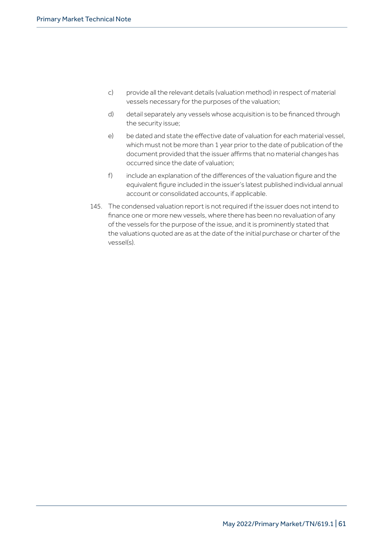- c) provide all the relevant details (valuation method) in respect of material vessels necessary for the purposes of the valuation;
- d) detail separately any vessels whose acquisition is to be financed through the security issue;
- e) be dated and state the effective date of valuation for each material vessel, which must not be more than 1 year prior to the date of publication of the document provided that the issuer affirms that no material changes has occurred since the date of valuation;
- f) include an explanation of the differences of the valuation figure and the equivalent figure included in the issuer's latest published individual annual account or consolidated accounts, if applicable.
- 145. The condensed valuation report is not required if the issuer does not intend to finance one or more new vessels, where there has been no revaluation of any of the vessels for the purpose of the issue, and it is prominently stated that the valuations quoted are as at the date of the initial purchase or charter of the vessel(s).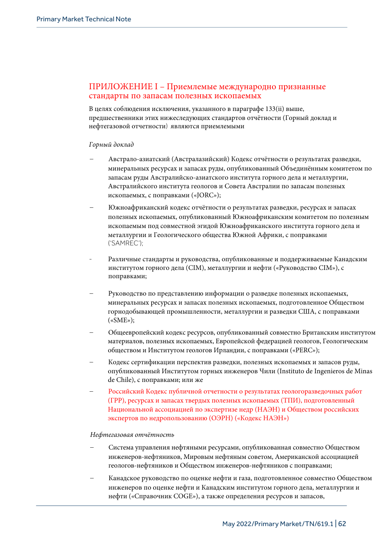## ПРИЛОЖЕНИЕ I – Допустимые международно признанные стандарты по запасам полезных ископаемых

В целях соблюдения исключения, указанного в параграфе 133(ii) выше, предшественники этих нижеследующих стандартов отчётности (Горный доклад и нефтегазовой отчетности) являются приемлемыми

#### *Горный доклад*

- Австрало-азиатский (Австралазийский) Кодекс отчётности о результатах разведки, минеральных ресурсах и запасах руды, опубликованный Объединённым комитетом по запасам руды Австралийско-азиатского института горного дела и металлургии, Австралийского института геологов и Совета Австралии по запасам полезных ископаемых, с поправками («JORC»);
- Южноафриканский кодекс отчётности о результатах разведки, ресурсах и запасах полезных ископаемых, опубликованный Южноафриканским комитетом по полезным ископаемым под совместной эгидой Южноафриканского института горного дела и металлургии и Геологического общества Южной Африки, с поправками ('SAMREC');
- Различные стандарты и руководства, опубликованные и поддерживаемые Канадским институтом горного дела (CIM), металлургии и нефти («Руководство CIM»), с поправками;
- Руководство по представлению информации о разведке полезных ископаемых, минеральных ресурсах и запасах полезных ископаемых, подготовленное Обществом горнодобывающей промышленности, металлургии и разведки США, с поправками («SME»);
- Общеевропейский кодекс ресурсов, опубликованный совместно Британским институтом материалов, полезных ископаемых, Европейской федерацией геологов, Геологическим обществом и Институтом геологов Ирландии, с поправками («PERC»);
- Кодекс сертификации перспектив разведки, полезных ископаемых и запасов руды, опубликованный Институтом горных инженеров Чили (Instituto de Ingenieros de Minas de Chile), с поправками; или же
- Российский Кодекс публичной отчетности о результатах геологоразведочных работ (ГРР), ресурсах и запасах твердых полезных ископаемых (ТПИ), подготовленный Национальной ассоциацией по экспертизе недр (НАЭН) и Обществом российских экспертов по недропользованию (ОЭРН) («Кодекс НАЭН»)

#### *Нефтегазовая отчётность*

- Система управления нефтяными ресурсами, опубликованная совместно Обществом  $\overline{\phantom{0}}$ инженеров-нефтяников, Мировым нефтяным советом, Американской ассоциацией геологов-нефтяников и Обществом инженеров-нефтяников с поправками;
- Канадское руководство по оценке нефти и газа, подготовленное совместно Обществом инженеров по оценке нефти и Канадским институтом горного дела, металлургии и нефти («Справочник COGE»), а также определения ресурсов и запасов,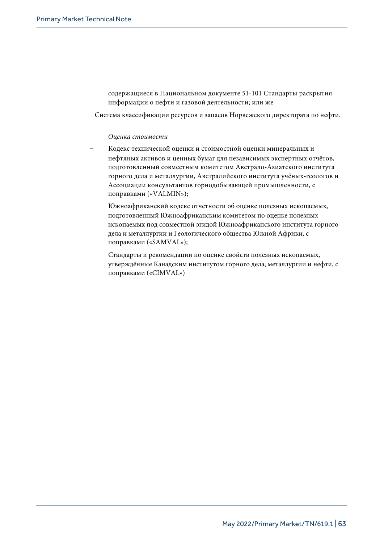содержащиеся в Национальном документе 51-101 Стандарты раскрытия информации о нефти и газовой деятельности; или же

– Система классификации ресурсов и запасов Норвежского директората по нефти.

#### *Оценка стоимости*

- Кодекс технической оценки и стоимостной оценки минеральных и нефтяных активов и ценных бумаг для независимых экспертных отчётов, подготовленный совместным комитетом Австрало-Азиатского института горного дела и металлургии, Австралийского института учёных-геологов и Ассоциации консультантов горнодобывающей промышленности, с поправками («VALMIN»);
- Южноафриканский кодекс отчётности об оценке полезных ископаемых, подготовленный Южноафриканским комитетом по оценке полезных ископаемых под совместной эгидой Южноафриканского института горного дела и металлургии и Геологического общества Южной Африки, с поправками («SAMVAL»);
- Стандарты и рекомендации по оценке свойств полезных ископаемых, утверждённые Канадским институтом горного дела, металлургии и нефти, с поправками («CIMVAL»)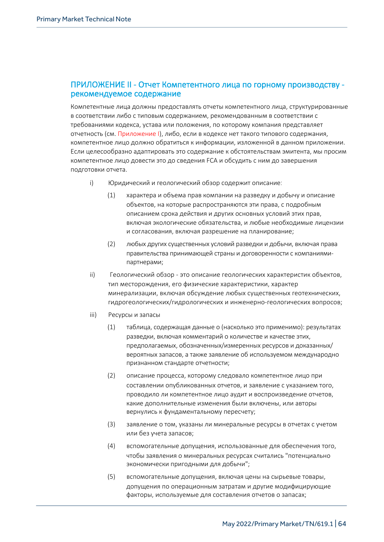## ПРИЛОЖЕНИЕ II - Отчет Компетентного лица по горному производству рекомендуемое содержание

Компетентные лица должны предоставлять отчеты компетентного лица, структурированные в соответствии либо с типовым содержанием, рекомендованным в соответствии с требованиями кодекса, устава или положения, по которому компания представляет отчетность (см. Приложение I), либо, если в кодексе нет такого типового содержания, компетентное лицо должно обратиться к информации, изложенной в данном приложении. Если целесообразно адаптировать это содержание к обстоятельствам эмитента, мы просим компетентное лицо довести это до сведения FCA и обсудить с ним до завершения подготовки отчета.

- i) Юридический и геологический обзор содержит описание:
	- (1) характера и объема прав компании на разведку и добычу и описание объектов, на которые распространяются эти права, с подробным описанием срока действия и других основных условий этих прав, включая экологические обязательства, и любые необходимые лицензии и согласования, включая разрешение на планирование;
	- (2) любых других существенных условий разведки и добычи, включая права правительства принимающей страны и договоренности с компаниямипартнерами;
- ii) Геологический обзор это описание геологических характеристик объектов, тип месторождения, его физические характеристики, характер минерализации, включая обсуждение любых существенных геотехнических, гидрогеологических/гидрологических и инженерно-геологических вопросов;
- iii) Ресурсы и запасы
	- (1) таблица, содержащая данные о (насколько это применимо): результатах разведки, включая комментарий о количестве и качестве этих, предполагаемых, обозначенных/измеренных ресурсов и доказанных/ вероятных запасов, а также заявление об используемом международно признанном стандарте отчетности;
	- (2) описание процесса, которому следовало компетентное лицо при составлении опубликованных отчетов, и заявление с указанием того, проводило ли компетентное лицо аудит и воспроизведение отчетов, какие дополнительные изменения были включены, или авторы вернулись к фундаментальному пересчету;
	- (3) заявление о том, указаны ли минеральные ресурсы в отчетах с учетом или без учета запасов;
	- (4) вспомогательные допущения, использованные для обеспечения того, чтобы заявления о минеральных ресурсах считались "потенциально экономически пригодными для добычи";
	- (5) вспомогательные допущения, включая цены на сырьевые товары, допущения по операционным затратам и другие модифицирующие факторы, используемые для составления отчетов о запасах;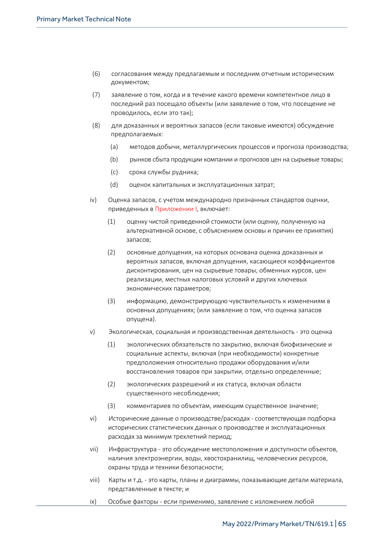- (6) согласования между предлагаемым и последним отчетным историческим документом;
- (7) заявление о том, когда и в течение какого времени компетентное лицо в последний раз посещало объекты (или заявление о том, что посещение не проводилось, если это так);
- (8) для доказанных и вероятных запасов (если таковые имеются) обсуждение предполагаемых:
	- (a) методов добычи, металлургических процессов и прогноза производства;
	- (b) рынков сбыта продукции компании и прогнозов цен на сырьевые товары;
	- (c) срока службы рудника;
	- (d) оценок капитальных и эксплуатационных затрат;
- $iv)$ Оценка запасов, с учетом международно признанных стандартов оценки, приведенных в Приложении I, включает:
	- $(1)$ оценку чистой приведенной стоимости (или оценку, полученную на альтернативной основе, с объяснением основы и причин ее принятия) запасов:
	- $(2)$ основные допущения, на которых основана оценка доказанных и вероятных запасов, включая допущения, касающиеся коэффициентов дисконтирования, цен на сырьевые товары, обменных курсов, цен реализации, местных налоговых условий и других ключевых экономических параметров;
	- $(3)$ информацию. демонстрирующую чувствительность к изменениям в основных допущениях; (или заявление о том, что оценка запасов опущена).
- $V)$ Экологическая, социальная и производственная деятельность - это оценка
	- $(1)$ экологических обязательств по закрытию, включая биофизические и социальные аспекты, включая (при необходимости) конкретные предположения относительно продажи оборудования и/или восстановления товаров при закрытии, отдельно определенные;
	- $(2)$ экологических разрешений и их статуса, включая области существенного несоблюдения;
	- $(3)$ комментариев по объектам, имеющим существенное значение:
- $vi)$ Исторические данные о производстве/расходах - соответствующая подборка исторических статистических данных о производстве и эксплуатационных расходах за минимум трехлетний период;
- $vii)$ Инфраструктура - это обсуждение местоположения и доступности объектов. наличия электроэнергии, воды, хвостохранилищ, человеческих ресурсов, охраны труда и техники безопасности;
- $viii)$ Карты и т.д. - это карты, планы и диаграммы, показывающие детали материала, представленные в тексте; и
- $i \times$ Особые факторы - если применимо, заявление с изложением любой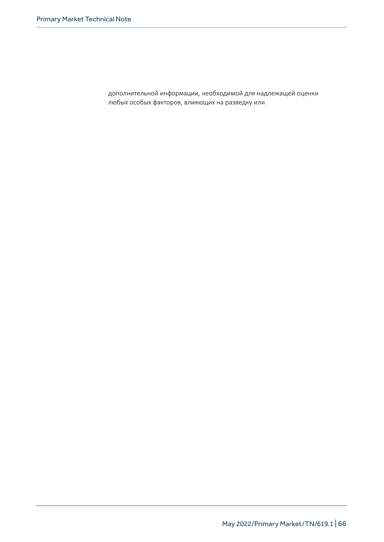дополнительной информации, необходимой для надлежащей оценки любых особых факторов, влияющих на разведку или добыче (например, в полярных регионах, где сезонность является особым фактором).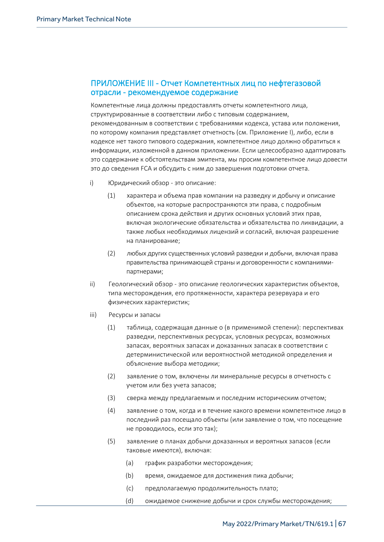## ПРИЛОЖЕНИЕ III - Отчет Компетентных лиц по нефтегазовой отрасли - рекомендуемое содержание

Компетентные лица должны предоставлять отчеты компетентного лица, структурированные в соответствии либо с типовым содержанием, рекомендованным в соответствии с требованиями кодекса, устава или положения, по которому компания представляет отчетность (см. Приложение I), либо, если в кодексе нет такого типового содержания, компетентное лицо должно обратиться к информации, изложенной в данном приложении. Если целесообразно адаптировать это содержание к обстоятельствам эмитента, мы просим компетентное лицо довести это до сведения FCA и обсудить с ним до завершения подготовки отчета.

- i) Юридический обзор это описание:
	- (1) характера и объема прав компании на разведку и добычу и описание объектов, на которые распространяются эти права, с подробным описанием срока действия и других основных условий этих прав, включая экологические обязательства и обязательства по ликвидации, а также любых необходимых лицензий и согласий, включая разрешение на планирование;
	- (2) любых других существенных условий разведки и добычи, включая права правительства принимающей страны и договоренности с компаниямипартнерами;
- ii) Геологический обзор это описание геологических характеристик объектов, типа месторождения, его протяженности, характера резервуара и его физических характеристик;
- iii) Ресурсы и запасы
	- (1) таблица, содержащая данные о (в применимой степени): перспективах разведки, перспективных ресурсах, условных ресурсах, возможных запасах, вероятных запасах и доказанных запасах в соответствии с детерминистической или вероятностной методикой определения и объяснение выбора методики;
	- (2) заявление о том, включены ли минеральные ресурсы в отчетность с учетом или без учета запасов;
	- (3) сверка между предлагаемым и последним историческим отчетом;
	- (4) заявление о том, когда и в течение какого времени компетентное лицо в последний раз посещало объекты (или заявление о том, что посещение не проводилось, если это так);
	- (5) заявление о планах добычи доказанных и вероятных запасов (если таковые имеются), включая:
		- (a) график разработки месторождения;
		- (b) время, ожидаемое для достижения пика добычи;
		- (c) предполагаемую продолжительность плато;
		- (d) ожидаемое снижение добычи и срок службы месторождения;